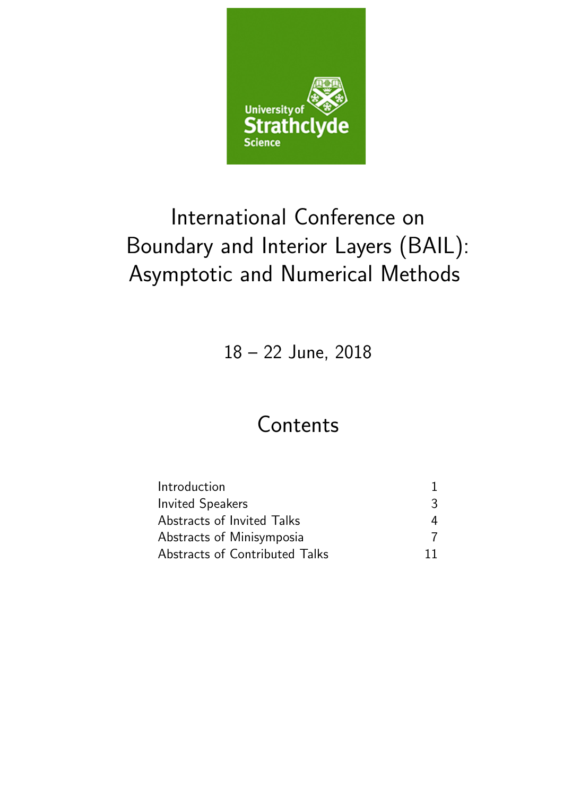

# International Conference on Boundary and Interior Layers (BAIL): Asymptotic and Numerical Methods

18 – 22 June, 2018

# Contents

| Introduction                   |    |
|--------------------------------|----|
| <b>Invited Speakers</b>        | 3  |
| Abstracts of Invited Talks     | 4  |
| Abstracts of Minisymposia      |    |
| Abstracts of Contributed Talks | 11 |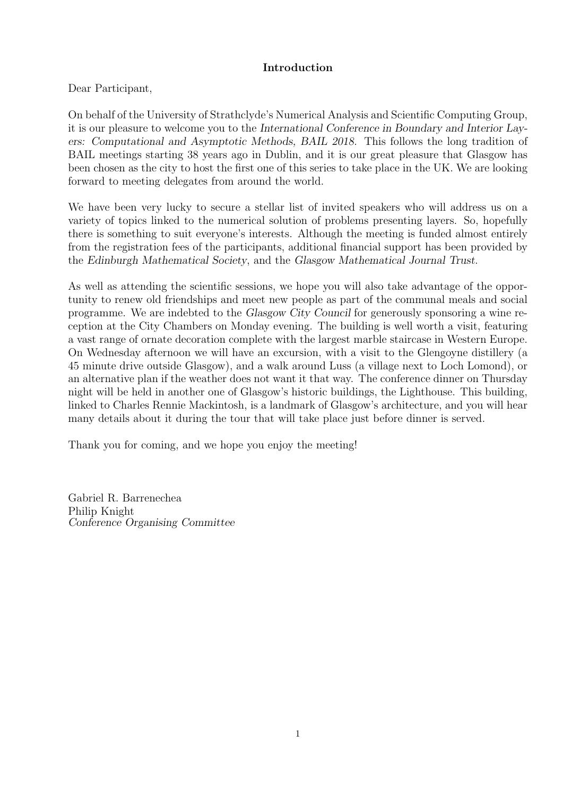### Introduction

Dear Participant,

On behalf of the University of Strathclyde's Numerical Analysis and Scientific Computing Group, it is our pleasure to welcome you to the International Conference in Boundary and Interior Layers: Computational and Asymptotic Methods, BAIL 2018. This follows the long tradition of BAIL meetings starting 38 years ago in Dublin, and it is our great pleasure that Glasgow has been chosen as the city to host the first one of this series to take place in the UK. We are looking forward to meeting delegates from around the world.

We have been very lucky to secure a stellar list of invited speakers who will address us on a variety of topics linked to the numerical solution of problems presenting layers. So, hopefully there is something to suit everyone's interests. Although the meeting is funded almost entirely from the registration fees of the participants, additional financial support has been provided by the Edinburgh Mathematical Society, and the Glasgow Mathematical Journal Trust.

As well as attending the scientific sessions, we hope you will also take advantage of the opportunity to renew old friendships and meet new people as part of the communal meals and social programme. We are indebted to the Glasgow City Council for generously sponsoring a wine reception at the City Chambers on Monday evening. The building is well worth a visit, featuring a vast range of ornate decoration complete with the largest marble staircase in Western Europe. On Wednesday afternoon we will have an excursion, with a visit to the Glengoyne distillery (a 45 minute drive outside Glasgow), and a walk around Luss (a village next to Loch Lomond), or an alternative plan if the weather does not want it that way. The conference dinner on Thursday night will be held in another one of Glasgow's historic buildings, the Lighthouse. This building, linked to Charles Rennie Mackintosh, is a landmark of Glasgow's architecture, and you will hear many details about it during the tour that will take place just before dinner is served.

Thank you for coming, and we hope you enjoy the meeting!

Gabriel R. Barrenechea Philip Knight Conference Organising Committee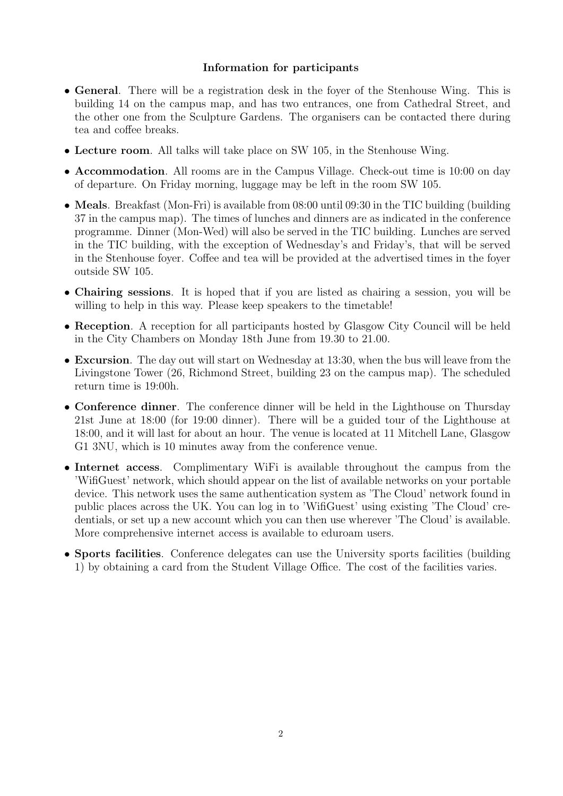### Information for participants

- General. There will be a registration desk in the foyer of the Stenhouse Wing. This is building 14 on the campus map, and has two entrances, one from Cathedral Street, and the other one from the Sculpture Gardens. The organisers can be contacted there during tea and coffee breaks.
- Lecture room. All talks will take place on SW 105, in the Stenhouse Wing.
- Accommodation. All rooms are in the Campus Village. Check-out time is 10:00 on day of departure. On Friday morning, luggage may be left in the room SW 105.
- Meals. Breakfast (Mon-Fri) is available from 08:00 until 09:30 in the TIC building (building 37 in the campus map). The times of lunches and dinners are as indicated in the conference programme. Dinner (Mon-Wed) will also be served in the TIC building. Lunches are served in the TIC building, with the exception of Wednesday's and Friday's, that will be served in the Stenhouse foyer. Coffee and tea will be provided at the advertised times in the foyer outside SW 105.
- Chairing sessions. It is hoped that if you are listed as chairing a session, you will be willing to help in this way. Please keep speakers to the timetable!
- Reception. A reception for all participants hosted by Glasgow City Council will be held in the City Chambers on Monday 18th June from 19.30 to 21.00.
- Excursion. The day out will start on Wednesday at 13:30, when the bus will leave from the Livingstone Tower (26, Richmond Street, building 23 on the campus map). The scheduled return time is 19:00h.
- Conference dinner. The conference dinner will be held in the Lighthouse on Thursday 21st June at 18:00 (for 19:00 dinner). There will be a guided tour of the Lighthouse at 18:00, and it will last for about an hour. The venue is located at 11 Mitchell Lane, Glasgow G1 3NU, which is 10 minutes away from the conference venue.
- Internet access. Complimentary WiFi is available throughout the campus from the 'WifiGuest' network, which should appear on the list of available networks on your portable device. This network uses the same authentication system as 'The Cloud' network found in public places across the UK. You can log in to 'WifiGuest' using existing 'The Cloud' credentials, or set up a new account which you can then use wherever 'The Cloud' is available. More comprehensive internet access is available to eduroam users.
- Sports facilities. Conference delegates can use the University sports facilities (building 1) by obtaining a card from the Student Village Office. The cost of the facilities varies.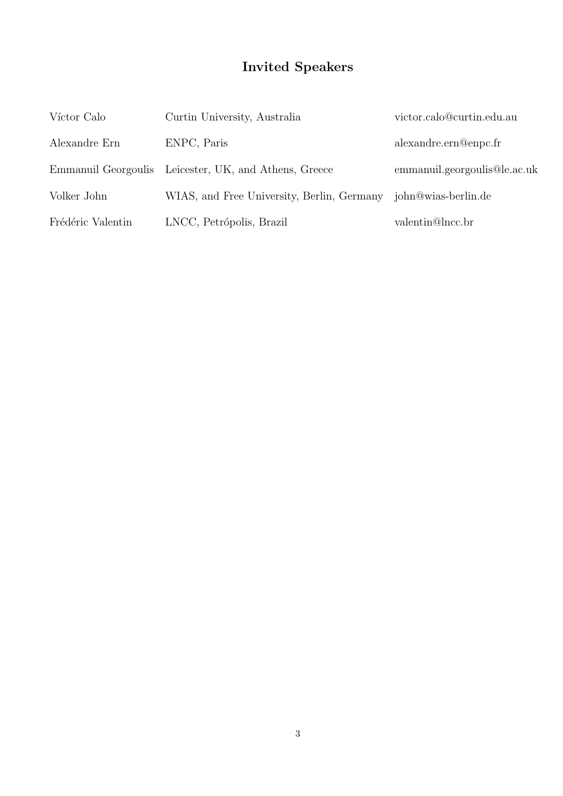# Invited Speakers

| Víctor Calo       | Curtin University, Australia                          | victor.calo@curtin.edu.au    |
|-------------------|-------------------------------------------------------|------------------------------|
| Alexandre Ern     | ENPC, Paris                                           | alexandre.ern@enpc.fr        |
|                   | Emmanuil Georgoulis Leicester, UK, and Athens, Greece | emmanuil.georgoulis@le.ac.uk |
| Volker John       | WIAS, and Free University, Berlin, Germany            | john@wias-berlin.de          |
| Frédéric Valentin | LNCC, Petrópolis, Brazil                              | valentin@lncc.br             |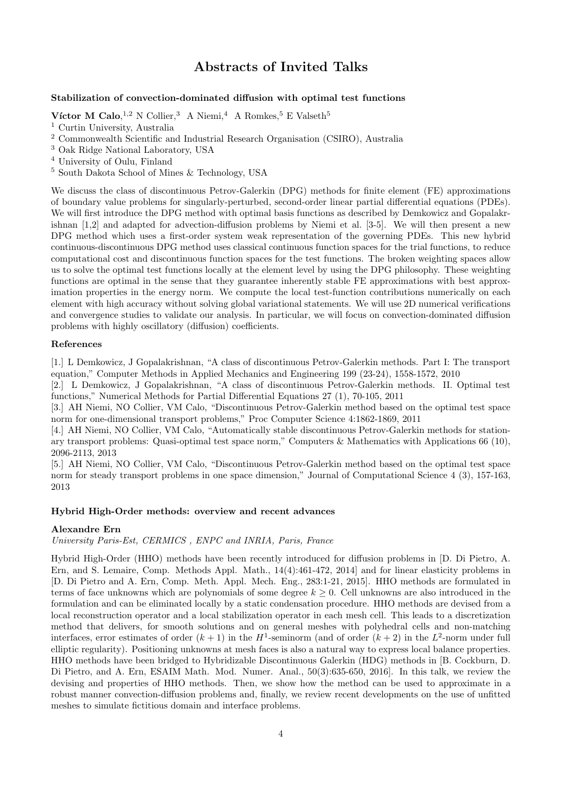# Abstracts of Invited Talks

#### Stabilization of convection-dominated diffusion with optimal test functions

Víctor M Calo, <sup>1,2</sup> N Collier, <sup>3</sup> A Niemi, <sup>4</sup> A Romkes, <sup>5</sup> E Valseth<sup>5</sup>

<sup>1</sup> Curtin University, Australia

<sup>3</sup> Oak Ridge National Laboratory, USA

<sup>5</sup> South Dakota School of Mines & Technology, USA

We discuss the class of discontinuous Petrov-Galerkin (DPG) methods for finite element (FE) approximations of boundary value problems for singularly-perturbed, second-order linear partial differential equations (PDEs). We will first introduce the DPG method with optimal basis functions as described by Demkowicz and Gopalakrishnan [1,2] and adapted for advection-diffusion problems by Niemi et al. [3-5]. We will then present a new DPG method which uses a first-order system weak representation of the governing PDEs. This new hybrid continuous-discontinuous DPG method uses classical continuous function spaces for the trial functions, to reduce computational cost and discontinuous function spaces for the test functions. The broken weighting spaces allow us to solve the optimal test functions locally at the element level by using the DPG philosophy. These weighting functions are optimal in the sense that they guarantee inherently stable FE approximations with best approximation properties in the energy norm. We compute the local test-function contributions numerically on each element with high accuracy without solving global variational statements. We will use 2D numerical verifications and convergence studies to validate our analysis. In particular, we will focus on convection-dominated diffusion problems with highly oscillatory (diffusion) coefficients.

#### References

[1.] L Demkowicz, J Gopalakrishnan, "A class of discontinuous Petrov-Galerkin methods. Part I: The transport equation," Computer Methods in Applied Mechanics and Engineering 199 (23-24), 1558-1572, 2010

[2.] L Demkowicz, J Gopalakrishnan, "A class of discontinuous Petrov-Galerkin methods. II. Optimal test functions," Numerical Methods for Partial Differential Equations 27 (1), 70-105, 2011

[3.] AH Niemi, NO Collier, VM Calo, "Discontinuous Petrov-Galerkin method based on the optimal test space norm for one-dimensional transport problems," Proc Computer Science 4:1862-1869, 2011

[4.] AH Niemi, NO Collier, VM Calo, "Automatically stable discontinuous Petrov-Galerkin methods for stationary transport problems: Quasi-optimal test space norm," Computers & Mathematics with Applications 66 (10), 2096-2113, 2013

[5.] AH Niemi, NO Collier, VM Calo, "Discontinuous Petrov-Galerkin method based on the optimal test space norm for steady transport problems in one space dimension," Journal of Computational Science 4 (3), 157-163, 2013

#### Hybrid High-Order methods: overview and recent advances

#### Alexandre Ern

University Paris-Est, CERMICS , ENPC and INRIA, Paris, France

Hybrid High-Order (HHO) methods have been recently introduced for diffusion problems in [D. Di Pietro, A. Ern, and S. Lemaire, Comp. Methods Appl. Math., 14(4):461-472, 2014] and for linear elasticity problems in [D. Di Pietro and A. Ern, Comp. Meth. Appl. Mech. Eng., 283:1-21, 2015]. HHO methods are formulated in terms of face unknowns which are polynomials of some degree  $k \geq 0$ . Cell unknowns are also introduced in the formulation and can be eliminated locally by a static condensation procedure. HHO methods are devised from a local reconstruction operator and a local stabilization operator in each mesh cell. This leads to a discretization method that delivers, for smooth solutions and on general meshes with polyhedral cells and non-matching interfaces, error estimates of order  $(k + 1)$  in the  $H^1$ -seminorm (and of order  $(k + 2)$  in the  $L^2$ -norm under full elliptic regularity). Positioning unknowns at mesh faces is also a natural way to express local balance properties. HHO methods have been bridged to Hybridizable Discontinuous Galerkin (HDG) methods in [B. Cockburn, D. Di Pietro, and A. Ern, ESAIM Math. Mod. Numer. Anal., 50(3):635-650, 2016]. In this talk, we review the devising and properties of HHO methods. Then, we show how the method can be used to approximate in a robust manner convection-diffusion problems and, finally, we review recent developments on the use of unfitted meshes to simulate fictitious domain and interface problems.

<sup>2</sup> Commonwealth Scientific and Industrial Research Organisation (CSIRO), Australia

<sup>4</sup> University of Oulu, Finland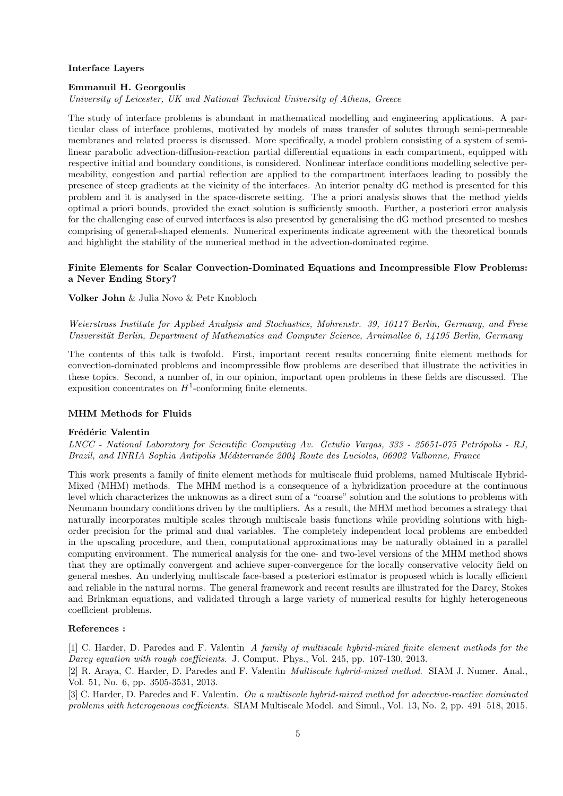#### Interface Layers

#### Emmanuil H. Georgoulis

University of Leicester, UK and National Technical University of Athens, Greece

The study of interface problems is abundant in mathematical modelling and engineering applications. A particular class of interface problems, motivated by models of mass transfer of solutes through semi-permeable membranes and related process is discussed. More specifically, a model problem consisting of a system of semilinear parabolic advection-diffusion-reaction partial differential equations in each compartment, equipped with respective initial and boundary conditions, is considered. Nonlinear interface conditions modelling selective permeability, congestion and partial reflection are applied to the compartment interfaces leading to possibly the presence of steep gradients at the vicinity of the interfaces. An interior penalty dG method is presented for this problem and it is analysed in the space-discrete setting. The a priori analysis shows that the method yields optimal a priori bounds, provided the exact solution is sufficiently smooth. Further, a posteriori error analysis for the challenging case of curved interfaces is also presented by generalising the dG method presented to meshes comprising of general-shaped elements. Numerical experiments indicate agreement with the theoretical bounds and highlight the stability of the numerical method in the advection-dominated regime.

#### Finite Elements for Scalar Convection-Dominated Equations and Incompressible Flow Problems: a Never Ending Story?

Volker John & Julia Novo & Petr Knobloch

Weierstrass Institute for Applied Analysis and Stochastics, Mohrenstr. 39, 10117 Berlin, Germany, and Freie Universität Berlin, Department of Mathematics and Computer Science, Arnimallee 6, 14195 Berlin, Germany

The contents of this talk is twofold. First, important recent results concerning finite element methods for convection-dominated problems and incompressible flow problems are described that illustrate the activities in these topics. Second, a number of, in our opinion, important open problems in these fields are discussed. The exposition concentrates on  $H^1$ -conforming finite elements.

#### MHM Methods for Fluids

#### Frédéric Valentin

LNCC - National Laboratory for Scientific Computing Av. Getulio Vargas, 333 - 25651-075 Petrópolis - RJ, Brazil, and INRIA Sophia Antipolis Méditerranée 2004 Route des Lucioles, 06902 Valbonne, France

This work presents a family of finite element methods for multiscale fluid problems, named Multiscale Hybrid-Mixed (MHM) methods. The MHM method is a consequence of a hybridization procedure at the continuous level which characterizes the unknowns as a direct sum of a "coarse" solution and the solutions to problems with Neumann boundary conditions driven by the multipliers. As a result, the MHM method becomes a strategy that naturally incorporates multiple scales through multiscale basis functions while providing solutions with highorder precision for the primal and dual variables. The completely independent local problems are embedded in the upscaling procedure, and then, computational approximations may be naturally obtained in a parallel computing environment. The numerical analysis for the one- and two-level versions of the MHM method shows that they are optimally convergent and achieve super-convergence for the locally conservative velocity field on general meshes. An underlying multiscale face-based a posteriori estimator is proposed which is locally efficient and reliable in the natural norms. The general framework and recent results are illustrated for the Darcy, Stokes and Brinkman equations, and validated through a large variety of numerical results for highly heterogeneous coefficient problems.

#### References :

[1] C. Harder, D. Paredes and F. Valentin A family of multiscale hybrid-mixed finite element methods for the Darcy equation with rough coefficients. J. Comput. Phys., Vol. 245, pp. 107-130, 2013.

[2] R. Araya, C. Harder, D. Paredes and F. Valentin Multiscale hybrid-mixed method. SIAM J. Numer. Anal., Vol. 51, No. 6, pp. 3505-3531, 2013.

[3] C. Harder, D. Paredes and F. Valentin. On a multiscale hybrid-mixed method for advective-reactive dominated problems with heterogenous coefficients. SIAM Multiscale Model. and Simul., Vol. 13, No. 2, pp. 491–518, 2015.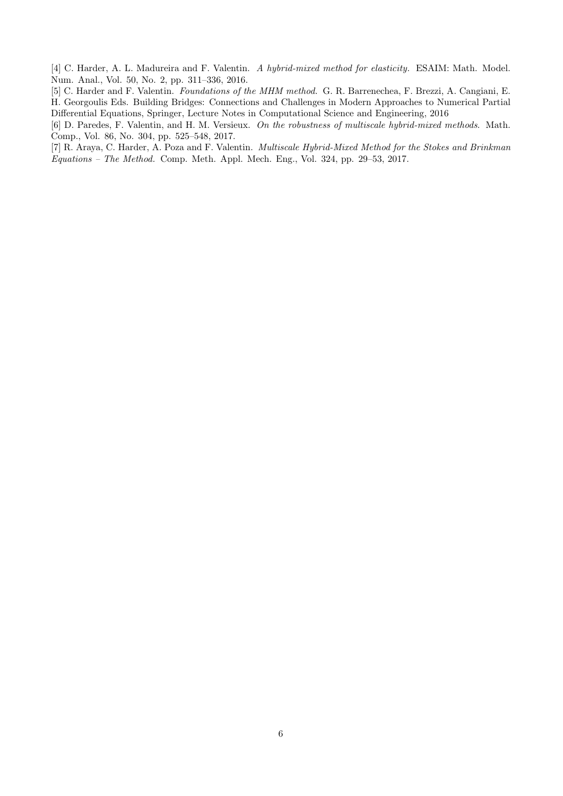[4] C. Harder, A. L. Madureira and F. Valentin. A hybrid-mixed method for elasticity. ESAIM: Math. Model. Num. Anal., Vol. 50, No. 2, pp. 311–336, 2016.

[5] C. Harder and F. Valentin. Foundations of the MHM method. G. R. Barrenechea, F. Brezzi, A. Cangiani, E. H. Georgoulis Eds. Building Bridges: Connections and Challenges in Modern Approaches to Numerical Partial Differential Equations, Springer, Lecture Notes in Computational Science and Engineering, 2016

[6] D. Paredes, F. Valentin, and H. M. Versieux. On the robustness of multiscale hybrid-mixed methods. Math. Comp., Vol. 86, No. 304, pp. 525–548, 2017.

[7] R. Araya, C. Harder, A. Poza and F. Valentin. Multiscale Hybrid-Mixed Method for the Stokes and Brinkman Equations – The Method. Comp. Meth. Appl. Mech. Eng., Vol. 324, pp. 29–53, 2017.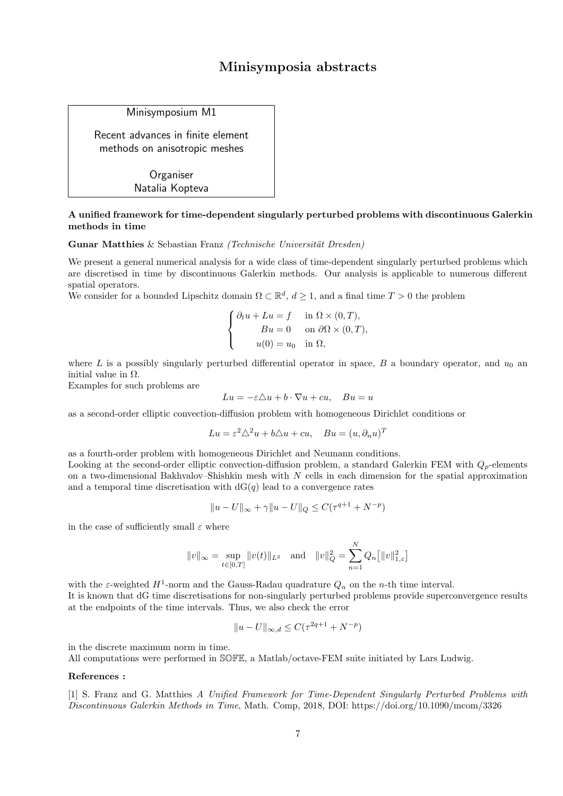# Minisymposia abstracts

Minisymposium M1

Recent advances in finite element methods on anisotropic meshes

> **Organiser** Natalia Kopteva

#### A unified framework for time-dependent singularly perturbed problems with discontinuous Galerkin methods in time

Gunar Matthies & Sebastian Franz (Technische Universität Dresden)

We present a general numerical analysis for a wide class of time-dependent singularly perturbed problems which are discretised in time by discontinuous Galerkin methods. Our analysis is applicable to numerous different spatial operators.

We consider for a bounded Lipschitz domain  $\Omega \subset \mathbb{R}^d$ ,  $d \geq 1$ , and a final time  $T > 0$  the problem

$$
\begin{cases} \partial_t u + Lu = f & \text{in } \Omega \times (0, T), \\ Bu = 0 & \text{on } \partial \Omega \times (0, T), \\ u(0) = u_0 & \text{in } \Omega, \end{cases}
$$

where L is a possibly singularly perturbed differential operator in space, B a boundary operator, and  $u_0$  and initial value in  $Ω$ .

Examples for such problems are

$$
Lu = -\varepsilon \triangle u + b \cdot \nabla u + cu, \quad Bu = u
$$

as a second-order elliptic convection-diffusion problem with homogeneous Dirichlet conditions or

$$
Lu = \varepsilon^2 \triangle^2 u + b \triangle u + cu, \quad Bu = (u, \partial_n u)^T
$$

as a fourth-order problem with homogeneous Dirichlet and Neumann conditions.

Looking at the second-order elliptic convection-diffusion problem, a standard Galerkin FEM with  $Q_p$ -elements on a two-dimensional Bakhvalov–Shishkin mesh with  $N$  cells in each dimension for the spatial approximation and a temporal time discretisation with  $dG(q)$  lead to a convergence rates

$$
||u - U||_{\infty} + \gamma ||u - U||_{Q} \leq C(\tau^{q+1} + N^{-p})
$$

in the case of sufficiently small  $\varepsilon$  where

$$
||v||_{\infty} = \sup_{t \in [0,T]} ||v(t)||_{L^2}
$$
 and  $||v||_Q^2 = \sum_{n=1}^N Q_n [||v||_{1,\varepsilon}^2]$ 

with the  $\varepsilon$ -weighted  $H^1$ -norm and the Gauss-Radau quadrature  $Q_n$  on the *n*-th time interval. It is known that dG time discretisations for non-singularly perturbed problems provide superconvergence results at the endpoints of the time intervals. Thus, we also check the error

$$
||u - U||_{\infty, d} \le C(\tau^{2q+1} + N^{-p})
$$

in the discrete maximum norm in time.

All computations were performed in SOFE, a Matlab/octave-FEM suite initiated by Lars Ludwig.

#### References :

[1] S. Franz and G. Matthies A Unified Framework for Time-Dependent Singularly Perturbed Problems with Discontinuous Galerkin Methods in Time, Math. Comp, 2018, DOI: https://doi.org/10.1090/mcom/3326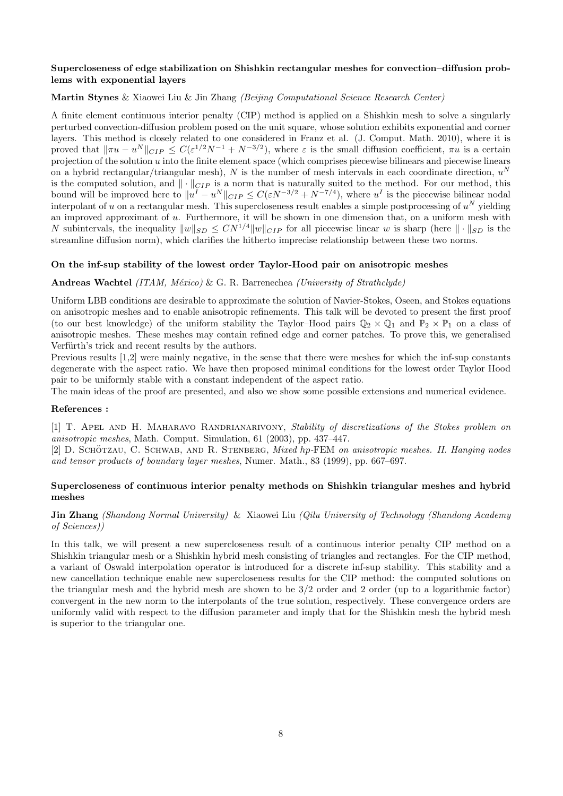#### Supercloseness of edge stabilization on Shishkin rectangular meshes for convection–diffusion problems with exponential layers

#### Martin Stynes & Xiaowei Liu & Jin Zhang (Beijing Computational Science Research Center)

A finite element continuous interior penalty (CIP) method is applied on a Shishkin mesh to solve a singularly perturbed convection-diffusion problem posed on the unit square, whose solution exhibits exponential and corner layers. This method is closely related to one considered in Franz et al. (J. Comput. Math. 2010), where it is proved that  $\|\pi u - u^N\|_{CIP} \leq C(\varepsilon^{1/2}N^{-1} + N^{-3/2})$ , where  $\varepsilon$  is the small diffusion coefficient,  $\pi u$  is a certain projection of the solution u into the finite element space (which comprises piecewise bilinears and piecewise linears on a hybrid rectangular/triangular mesh), N is the number of mesh intervals in each coordinate direction,  $u^N$ is the computed solution, and  $\|\cdot\|_{CIP}$  is a norm that is naturally suited to the method. For our method, this bound will be improved here to  $||u^I - u^N||_{CIP} \leq C(\varepsilon N^{-3/2} + N^{-7/4})$ , where  $u^I$  is the piecewise bilinear nodal interpolant of u on a rectangular mesh. This supercloseness result enables a simple postprocessing of  $u^N$  yielding an improved approximant of u. Furthermore, it will be shown in one dimension that, on a uniform mesh with N subintervals, the inequality  $||w||_{SD} \le CN^{1/4}||w||_{CIP}$  for all piecewise linear w is sharp (here  $||\cdot||_{SD}$  is the streamline diffusion norm), which clarifies the hitherto imprecise relationship between these two norms.

#### On the inf-sup stability of the lowest order Taylor-Hood pair on anisotropic meshes

#### Andreas Wachtel (ITAM, México) & G. R. Barrenechea (University of Strathclyde)

Uniform LBB conditions are desirable to approximate the solution of Navier-Stokes, Oseen, and Stokes equations on anisotropic meshes and to enable anisotropic refinements. This talk will be devoted to present the first proof (to our best knowledge) of the uniform stability the Taylor–Hood pairs  $\mathbb{Q}_2 \times \mathbb{Q}_1$  and  $\mathbb{P}_2 \times \mathbb{P}_1$  on a class of anisotropic meshes. These meshes may contain refined edge and corner patches. To prove this, we generalised Verfürth's trick and recent results by the authors.

Previous results [1,2] were mainly negative, in the sense that there were meshes for which the inf-sup constants degenerate with the aspect ratio. We have then proposed minimal conditions for the lowest order Taylor Hood pair to be uniformly stable with a constant independent of the aspect ratio.

The main ideas of the proof are presented, and also we show some possible extensions and numerical evidence.

#### References :

[1] T. APEL AND H. MAHARAVO RANDRIANARIVONY, Stability of discretizations of the Stokes problem on anisotropic meshes, Math. Comput. Simulation, 61 (2003), pp. 437–447.

[2] D. SCHÖTZAU, C. SCHWAB, AND R. STENBERG, Mixed hp-FEM on anisotropic meshes. II. Hanging nodes and tensor products of boundary layer meshes, Numer. Math., 83 (1999), pp. 667–697.

#### Supercloseness of continuous interior penalty methods on Shishkin triangular meshes and hybrid meshes

#### Jin Zhang (Shandong Normal University) & Xiaowei Liu (Qilu University of Technology (Shandong Academy of Sciences))

In this talk, we will present a new supercloseness result of a continuous interior penalty CIP method on a Shishkin triangular mesh or a Shishkin hybrid mesh consisting of triangles and rectangles. For the CIP method, a variant of Oswald interpolation operator is introduced for a discrete inf-sup stability. This stability and a new cancellation technique enable new supercloseness results for the CIP method: the computed solutions on the triangular mesh and the hybrid mesh are shown to be 3/2 order and 2 order (up to a logarithmic factor) convergent in the new norm to the interpolants of the true solution, respectively. These convergence orders are uniformly valid with respect to the diffusion parameter and imply that for the Shishkin mesh the hybrid mesh is superior to the triangular one.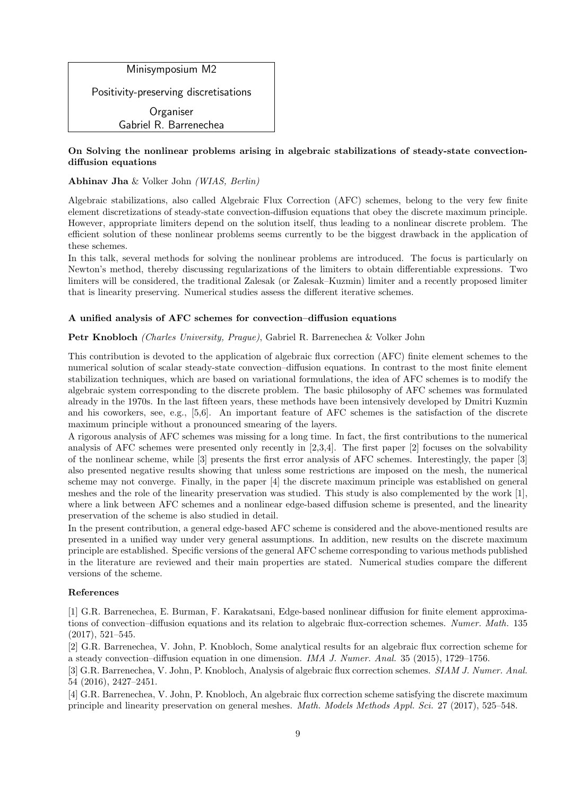

#### On Solving the nonlinear problems arising in algebraic stabilizations of steady-state convectiondiffusion equations

#### Abhinav Jha & Volker John (WIAS, Berlin)

Algebraic stabilizations, also called Algebraic Flux Correction (AFC) schemes, belong to the very few finite element discretizations of steady-state convection-diffusion equations that obey the discrete maximum principle. However, appropriate limiters depend on the solution itself, thus leading to a nonlinear discrete problem. The efficient solution of these nonlinear problems seems currently to be the biggest drawback in the application of these schemes.

In this talk, several methods for solving the nonlinear problems are introduced. The focus is particularly on Newton's method, thereby discussing regularizations of the limiters to obtain differentiable expressions. Two limiters will be considered, the traditional Zalesak (or Zalesak–Kuzmin) limiter and a recently proposed limiter that is linearity preserving. Numerical studies assess the different iterative schemes.

#### A unified analysis of AFC schemes for convection–diffusion equations

#### Petr Knobloch (Charles University, Prague), Gabriel R. Barrenechea & Volker John

This contribution is devoted to the application of algebraic flux correction (AFC) finite element schemes to the numerical solution of scalar steady-state convection–diffusion equations. In contrast to the most finite element stabilization techniques, which are based on variational formulations, the idea of AFC schemes is to modify the algebraic system corresponding to the discrete problem. The basic philosophy of AFC schemes was formulated already in the 1970s. In the last fifteen years, these methods have been intensively developed by Dmitri Kuzmin and his coworkers, see, e.g., [5,6]. An important feature of AFC schemes is the satisfaction of the discrete maximum principle without a pronounced smearing of the layers.

A rigorous analysis of AFC schemes was missing for a long time. In fact, the first contributions to the numerical analysis of AFC schemes were presented only recently in [2,3,4]. The first paper [2] focuses on the solvability of the nonlinear scheme, while [3] presents the first error analysis of AFC schemes. Interestingly, the paper [3] also presented negative results showing that unless some restrictions are imposed on the mesh, the numerical scheme may not converge. Finally, in the paper [4] the discrete maximum principle was established on general meshes and the role of the linearity preservation was studied. This study is also complemented by the work [1], where a link between AFC schemes and a nonlinear edge-based diffusion scheme is presented, and the linearity preservation of the scheme is also studied in detail.

In the present contribution, a general edge-based AFC scheme is considered and the above-mentioned results are presented in a unified way under very general assumptions. In addition, new results on the discrete maximum principle are established. Specific versions of the general AFC scheme corresponding to various methods published in the literature are reviewed and their main properties are stated. Numerical studies compare the different versions of the scheme.

#### References

[1] G.R. Barrenechea, E. Burman, F. Karakatsani, Edge-based nonlinear diffusion for finite element approximations of convection–diffusion equations and its relation to algebraic flux-correction schemes. Numer. Math. 135 (2017), 521–545.

[2] G.R. Barrenechea, V. John, P. Knobloch, Some analytical results for an algebraic flux correction scheme for a steady convection–diffusion equation in one dimension. IMA J. Numer. Anal. 35 (2015), 1729–1756.

[3] G.R. Barrenechea, V. John, P. Knobloch, Analysis of algebraic flux correction schemes. SIAM J. Numer. Anal. 54 (2016), 2427–2451.

[4] G.R. Barrenechea, V. John, P. Knobloch, An algebraic flux correction scheme satisfying the discrete maximum principle and linearity preservation on general meshes. Math. Models Methods Appl. Sci. 27 (2017), 525–548.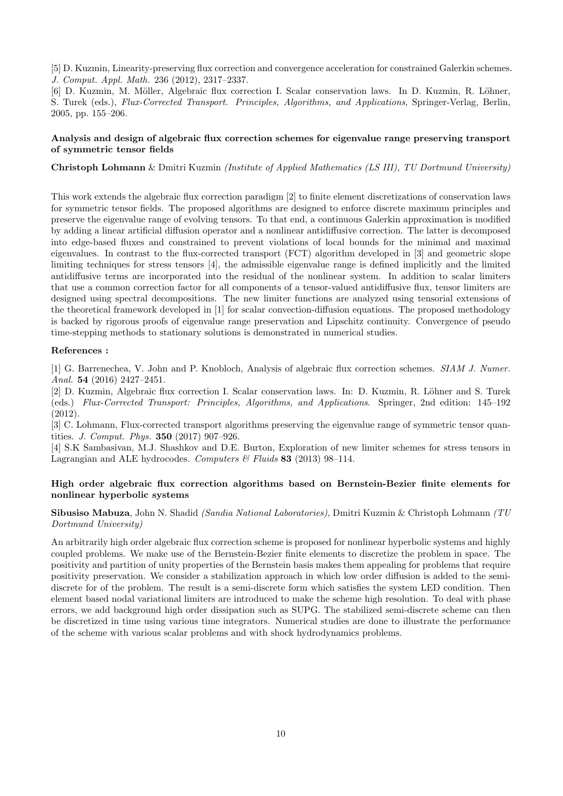[5] D. Kuzmin, Linearity-preserving flux correction and convergence acceleration for constrained Galerkin schemes. J. Comput. Appl. Math. 236 (2012), 2317–2337.

[6] D. Kuzmin, M. Möller, Algebraic flux correction I. Scalar conservation laws. In D. Kuzmin, R. Löhner, S. Turek (eds.), Flux-Corrected Transport. Principles, Algorithms, and Applications, Springer-Verlag, Berlin, 2005, pp. 155–206.

#### Analysis and design of algebraic flux correction schemes for eigenvalue range preserving transport of symmetric tensor fields

Christoph Lohmann & Dmitri Kuzmin (Institute of Applied Mathematics (LS III), TU Dortmund University)

This work extends the algebraic flux correction paradigm [2] to finite element discretizations of conservation laws for symmetric tensor fields. The proposed algorithms are designed to enforce discrete maximum principles and preserve the eigenvalue range of evolving tensors. To that end, a continuous Galerkin approximation is modified by adding a linear artificial diffusion operator and a nonlinear antidiffusive correction. The latter is decomposed into edge-based fluxes and constrained to prevent violations of local bounds for the minimal and maximal eigenvalues. In contrast to the flux-corrected transport (FCT) algorithm developed in [3] and geometric slope limiting techniques for stress tensors [4], the admissible eigenvalue range is defined implicitly and the limited antidiffusive terms are incorporated into the residual of the nonlinear system. In addition to scalar limiters that use a common correction factor for all components of a tensor-valued antidiffusive flux, tensor limiters are designed using spectral decompositions. The new limiter functions are analyzed using tensorial extensions of the theoretical framework developed in [1] for scalar convection-diffusion equations. The proposed methodology is backed by rigorous proofs of eigenvalue range preservation and Lipschitz continuity. Convergence of pseudo time-stepping methods to stationary solutions is demonstrated in numerical studies.

#### References :

[1] G. Barrenechea, V. John and P. Knobloch, Analysis of algebraic flux correction schemes. SIAM J. Numer. Anal. 54 (2016) 2427–2451.

[2] D. Kuzmin, Algebraic flux correction I. Scalar conservation laws. In: D. Kuzmin, R. Löhner and S. Turek (eds.) Flux-Corrected Transport: Principles, Algorithms, and Applications. Springer, 2nd edition: 145–192 (2012).

[3] C. Lohmann, Flux-corrected transport algorithms preserving the eigenvalue range of symmetric tensor quantities. J. Comput. Phys. 350 (2017) 907–926.

[4] S.K Sambasivan, M.J. Shashkov and D.E. Burton, Exploration of new limiter schemes for stress tensors in Lagrangian and ALE hydrocodes. Computers  $\mathcal B$  Fluids 83 (2013) 98-114.

#### High order algebraic flux correction algorithms based on Bernstein-Bezier finite elements for nonlinear hyperbolic systems

Sibusiso Mabuza, John N. Shadid (Sandia National Laboratories), Dmitri Kuzmin & Christoph Lohmann (TU Dortmund University)

An arbitrarily high order algebraic flux correction scheme is proposed for nonlinear hyperbolic systems and highly coupled problems. We make use of the Bernstein-Bezier finite elements to discretize the problem in space. The positivity and partition of unity properties of the Bernstein basis makes them appealing for problems that require positivity preservation. We consider a stabilization approach in which low order diffusion is added to the semidiscrete for of the problem. The result is a semi-discrete form which satisfies the system LED condition. Then element based nodal variational limiters are introduced to make the scheme high resolution. To deal with phase errors, we add background high order dissipation such as SUPG. The stabilized semi-discrete scheme can then be discretized in time using various time integrators. Numerical studies are done to illustrate the performance of the scheme with various scalar problems and with shock hydrodynamics problems.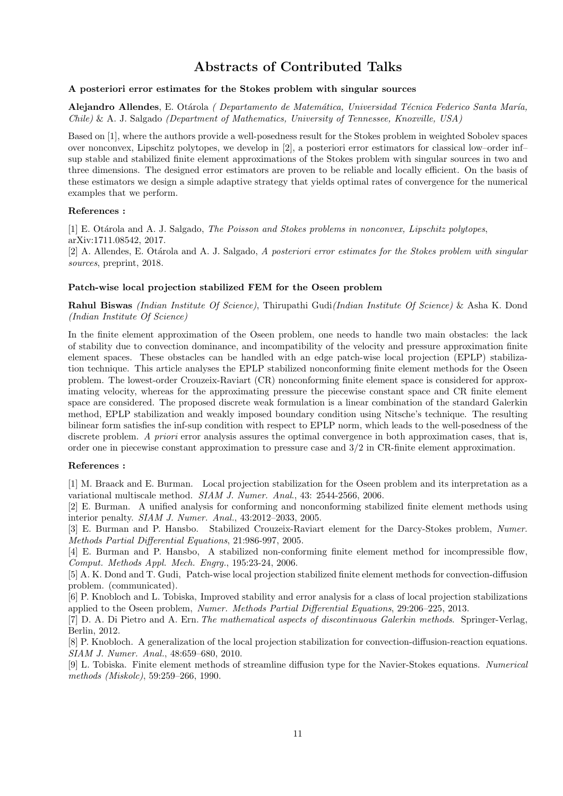# Abstracts of Contributed Talks

#### A posteriori error estimates for the Stokes problem with singular sources

Alejandro Allendes, E. Otárola ( Departamento de Matemática, Universidad Técnica Federico Santa María, Chile) & A. J. Salgado (Department of Mathematics, University of Tennessee, Knoxville, USA)

Based on [1], where the authors provide a well-posedness result for the Stokes problem in weighted Sobolev spaces over nonconvex, Lipschitz polytopes, we develop in [2], a posteriori error estimators for classical low–order inf– sup stable and stabilized finite element approximations of the Stokes problem with singular sources in two and three dimensions. The designed error estimators are proven to be reliable and locally efficient. On the basis of these estimators we design a simple adaptive strategy that yields optimal rates of convergence for the numerical examples that we perform.

#### References :

[1] E. Otárola and A. J. Salgado, *The Poisson and Stokes problems in nonconvex, Lipschitz polytopes*, arXiv:1711.08542, 2017.

[2] A. Allendes, E. Otárola and A. J. Salgado, A posteriori error estimates for the Stokes problem with singular sources, preprint, 2018.

#### Patch-wise local projection stabilized FEM for the Oseen problem

Rahul Biswas (Indian Institute Of Science), Thirupathi Gudi(Indian Institute Of Science) & Asha K. Dond (Indian Institute Of Science)

In the finite element approximation of the Oseen problem, one needs to handle two main obstacles: the lack of stability due to convection dominance, and incompatibility of the velocity and pressure approximation finite element spaces. These obstacles can be handled with an edge patch-wise local projection (EPLP) stabilization technique. This article analyses the EPLP stabilized nonconforming finite element methods for the Oseen problem. The lowest-order Crouzeix-Raviart (CR) nonconforming finite element space is considered for approximating velocity, whereas for the approximating pressure the piecewise constant space and CR finite element space are considered. The proposed discrete weak formulation is a linear combination of the standard Galerkin method, EPLP stabilization and weakly imposed boundary condition using Nitsche's technique. The resulting bilinear form satisfies the inf-sup condition with respect to EPLP norm, which leads to the well-posedness of the discrete problem. A priori error analysis assures the optimal convergence in both approximation cases, that is, order one in piecewise constant approximation to pressure case and 3/2 in CR-finite element approximation.

#### References :

[1] M. Braack and E. Burman. Local projection stabilization for the Oseen problem and its interpretation as a variational multiscale method. SIAM J. Numer. Anal., 43: 2544-2566, 2006.

[2] E. Burman. A unified analysis for conforming and nonconforming stabilized finite element methods using interior penalty. SIAM J. Numer. Anal., 43:2012–2033, 2005.

[3] E. Burman and P. Hansbo. Stabilized Crouzeix-Raviart element for the Darcy-Stokes problem, Numer. Methods Partial Differential Equations, 21:986-997, 2005.

[4] E. Burman and P. Hansbo, A stabilized non-conforming finite element method for incompressible flow, Comput. Methods Appl. Mech. Engrg., 195:23-24, 2006.

[5] A. K. Dond and T. Gudi, Patch-wise local projection stabilized finite element methods for convection-diffusion problem. (communicated).

[6] P. Knobloch and L. Tobiska, Improved stability and error analysis for a class of local projection stabilizations applied to the Oseen problem, Numer. Methods Partial Differential Equations, 29:206–225, 2013.

[7] D. A. Di Pietro and A. Ern. The mathematical aspects of discontinuous Galerkin methods. Springer-Verlag, Berlin, 2012.

[8] P. Knobloch. A generalization of the local projection stabilization for convection-diffusion-reaction equations. SIAM J. Numer. Anal., 48:659–680, 2010.

[9] L. Tobiska. Finite element methods of streamline diffusion type for the Navier-Stokes equations. Numerical methods (Miskolc), 59:259–266, 1990.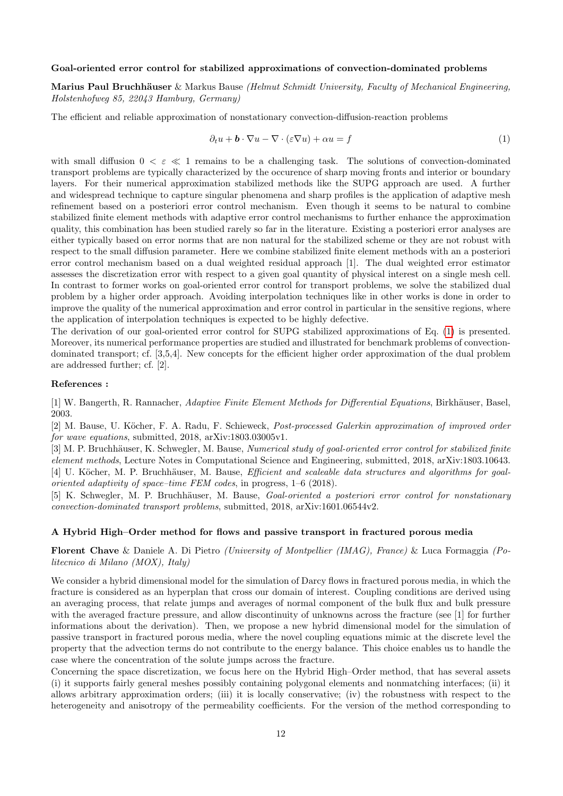#### Goal-oriented error control for stabilized approximations of convection-dominated problems

Marius Paul Bruchhäuser & Markus Bause (Helmut Schmidt University, Faculty of Mechanical Engineering, Holstenhofweg 85, 22043 Hamburg, Germany)

The efficient and reliable approximation of nonstationary convection-diffusion-reaction problems

<span id="page-12-0"></span>
$$
\partial_t u + \mathbf{b} \cdot \nabla u - \nabla \cdot (\varepsilon \nabla u) + \alpha u = f \tag{1}
$$

with small diffusion  $0 < \varepsilon \ll 1$  remains to be a challenging task. The solutions of convection-dominated transport problems are typically characterized by the occurence of sharp moving fronts and interior or boundary layers. For their numerical approximation stabilized methods like the SUPG approach are used. A further and widespread technique to capture singular phenomena and sharp profiles is the application of adaptive mesh refinement based on a posteriori error control mechanism. Even though it seems to be natural to combine stabilized finite element methods with adaptive error control mechanisms to further enhance the approximation quality, this combination has been studied rarely so far in the literature. Existing a posteriori error analyses are either typically based on error norms that are non natural for the stabilized scheme or they are not robust with respect to the small diffusion parameter. Here we combine stabilized finite element methods with an a posteriori error control mechanism based on a dual weighted residual approach [1]. The dual weighted error estimator assesses the discretization error with respect to a given goal quantity of physical interest on a single mesh cell. In contrast to former works on goal-oriented error control for transport problems, we solve the stabilized dual problem by a higher order approach. Avoiding interpolation techniques like in other works is done in order to improve the quality of the numerical approximation and error control in particular in the sensitive regions, where the application of interpolation techniques is expected to be highly defective.

The derivation of our goal-oriented error control for SUPG stabilized approximations of Eq. [\(1\)](#page-12-0) is presented. Moreover, its numerical performance properties are studied and illustrated for benchmark problems of convectiondominated transport; cf. [3,5,4]. New concepts for the efficient higher order approximation of the dual problem are addressed further; cf. [2].

#### References :

[1] W. Bangerth, R. Rannacher, Adaptive Finite Element Methods for Differential Equations, Birkhäuser, Basel, 2003.

[2] M. Bause, U. Köcher, F. A. Radu, F. Schieweck, *Post-processed Galerkin approximation of improved order* for wave equations, submitted, 2018, arXiv:1803.03005v1.

[3] M. P. Bruchhäuser, K. Schwegler, M. Bause, Numerical study of goal-oriented error control for stabilized finite element methods, Lecture Notes in Computational Science and Engineering, submitted, 2018, arXiv:1803.10643. [4] U. Köcher, M. P. Bruchhäuser, M. Bause, *Efficient and scaleable data structures and algorithms for goal*oriented adaptivity of space–time FEM codes, in progress, 1–6 (2018).

[5] K. Schwegler, M. P. Bruchhäuser, M. Bause, *Goal-oriented a posteriori error control for nonstationary* convection-dominated transport problems, submitted, 2018, arXiv:1601.06544v2.

#### A Hybrid High–Order method for flows and passive transport in fractured porous media

Florent Chave & Daniele A. Di Pietro (University of Montpellier (IMAG), France) & Luca Formaggia (Politecnico di Milano (MOX), Italy)

We consider a hybrid dimensional model for the simulation of Darcy flows in fractured porous media, in which the fracture is considered as an hyperplan that cross our domain of interest. Coupling conditions are derived using an averaging process, that relate jumps and averages of normal component of the bulk flux and bulk pressure with the averaged fracture pressure, and allow discontinuity of unknowns across the fracture (see [1] for further informations about the derivation). Then, we propose a new hybrid dimensional model for the simulation of passive transport in fractured porous media, where the novel coupling equations mimic at the discrete level the property that the advection terms do not contribute to the energy balance. This choice enables us to handle the case where the concentration of the solute jumps across the fracture.

Concerning the space discretization, we focus here on the Hybrid High–Order method, that has several assets (i) it supports fairly general meshes possibly containing polygonal elements and nonmatching interfaces; (ii) it allows arbitrary approximation orders; (iii) it is locally conservative; (iv) the robustness with respect to the heterogeneity and anisotropy of the permeability coefficients. For the version of the method corresponding to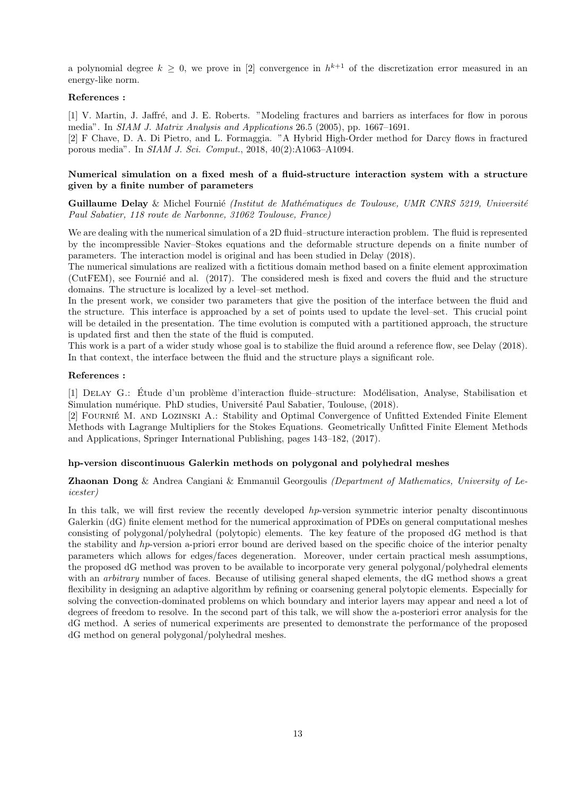a polynomial degree  $k \geq 0$ , we prove in [2] convergence in  $h^{k+1}$  of the discretization error measured in an energy-like norm.

#### References :

[1] V. Martin, J. Jaffré, and J. E. Roberts. "Modeling fractures and barriers as interfaces for flow in porous media". In SIAM J. Matrix Analysis and Applications 26.5 (2005), pp. 1667–1691.

[2] F Chave, D. A. Di Pietro, and L. Formaggia. "A Hybrid High-Order method for Darcy flows in fractured porous media". In SIAM J. Sci. Comput., 2018, 40(2):A1063–A1094.

#### Numerical simulation on a fixed mesh of a fluid-structure interaction system with a structure given by a finite number of parameters

Guillaume Delay & Michel Fournié (Institut de Mathématiques de Toulouse, UMR CNRS 5219, Université Paul Sabatier, 118 route de Narbonne, 31062 Toulouse, France)

We are dealing with the numerical simulation of a 2D fluid–structure interaction problem. The fluid is represented by the incompressible Navier–Stokes equations and the deformable structure depends on a finite number of parameters. The interaction model is original and has been studied in Delay (2018).

The numerical simulations are realized with a fictitious domain method based on a finite element approximation (CutFEM), see Fournie and al. (2017). The considered mesh is fixed and covers the fluid and the structure domains. The structure is localized by a level–set method.

In the present work, we consider two parameters that give the position of the interface between the fluid and the structure. This interface is approached by a set of points used to update the level–set. This crucial point will be detailed in the presentation. The time evolution is computed with a partitioned approach, the structure is updated first and then the state of the fluid is computed.

This work is a part of a wider study whose goal is to stabilize the fluid around a reference flow, see Delay (2018). In that context, the interface between the fluid and the structure plays a significant role.

#### References :

[1] DELAY G.: Étude d'un problème d'interaction fluide–structure: Modélisation, Analyse, Stabilisation et Simulation numérique. PhD studies, Université Paul Sabatier, Toulouse, (2018).

[2] FOURNIÉ M. AND LOZINSKI A.: Stability and Optimal Convergence of Unfitted Extended Finite Element Methods with Lagrange Multipliers for the Stokes Equations. Geometrically Unfitted Finite Element Methods and Applications, Springer International Publishing, pages 143–182, (2017).

#### hp-version discontinuous Galerkin methods on polygonal and polyhedral meshes

#### Zhaonan Dong & Andrea Cangiani & Emmanuil Georgoulis (Department of Mathematics, University of Leicester)

In this talk, we will first review the recently developed hp-version symmetric interior penalty discontinuous Galerkin (dG) finite element method for the numerical approximation of PDEs on general computational meshes consisting of polygonal/polyhedral (polytopic) elements. The key feature of the proposed dG method is that the stability and hp-version a-priori error bound are derived based on the specific choice of the interior penalty parameters which allows for edges/faces degeneration. Moreover, under certain practical mesh assumptions, the proposed dG method was proven to be available to incorporate very general polygonal/polyhedral elements with an *arbitrary* number of faces. Because of utilising general shaped elements, the dG method shows a great flexibility in designing an adaptive algorithm by refining or coarsening general polytopic elements. Especially for solving the convection-dominated problems on which boundary and interior layers may appear and need a lot of degrees of freedom to resolve. In the second part of this talk, we will show the a-posteriori error analysis for the dG method. A series of numerical experiments are presented to demonstrate the performance of the proposed dG method on general polygonal/polyhedral meshes.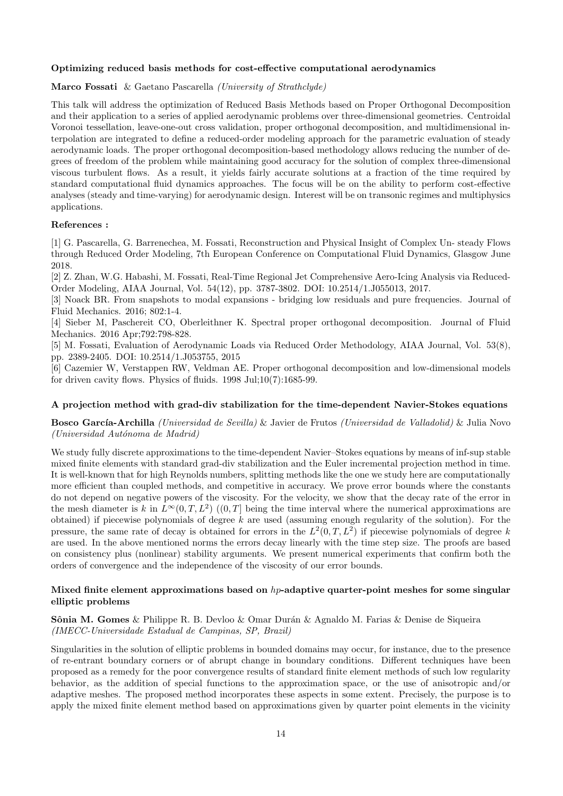#### Optimizing reduced basis methods for cost-effective computational aerodynamics

#### Marco Fossati & Gaetano Pascarella (University of Strathclyde)

This talk will address the optimization of Reduced Basis Methods based on Proper Orthogonal Decomposition and their application to a series of applied aerodynamic problems over three-dimensional geometries. Centroidal Voronoi tessellation, leave-one-out cross validation, proper orthogonal decomposition, and multidimensional interpolation are integrated to define a reduced-order modeling approach for the parametric evaluation of steady aerodynamic loads. The proper orthogonal decomposition-based methodology allows reducing the number of degrees of freedom of the problem while maintaining good accuracy for the solution of complex three-dimensional viscous turbulent flows. As a result, it yields fairly accurate solutions at a fraction of the time required by standard computational fluid dynamics approaches. The focus will be on the ability to perform cost-effective analyses (steady and time-varying) for aerodynamic design. Interest will be on transonic regimes and multiphysics applications.

#### References :

[1] G. Pascarella, G. Barrenechea, M. Fossati, Reconstruction and Physical Insight of Complex Un- steady Flows through Reduced Order Modeling, 7th European Conference on Computational Fluid Dynamics, Glasgow June 2018.

[2] Z. Zhan, W.G. Habashi, M. Fossati, Real-Time Regional Jet Comprehensive Aero-Icing Analysis via Reduced-Order Modeling, AIAA Journal, Vol. 54(12), pp. 3787-3802. DOI: 10.2514/1.J055013, 2017.

[3] Noack BR. From snapshots to modal expansions - bridging low residuals and pure frequencies. Journal of Fluid Mechanics. 2016; 802:1-4.

[4] Sieber M, Paschereit CO, Oberleithner K. Spectral proper orthogonal decomposition. Journal of Fluid Mechanics. 2016 Apr;792:798-828.

[5] M. Fossati, Evaluation of Aerodynamic Loads via Reduced Order Methodology, AIAA Journal, Vol. 53(8), pp. 2389-2405. DOI: 10.2514/1.J053755, 2015

[6] Cazemier W, Verstappen RW, Veldman AE. Proper orthogonal decomposition and low-dimensional models for driven cavity flows. Physics of fluids. 1998 Jul;10(7):1685-99.

#### A projection method with grad-div stabilization for the time-dependent Navier-Stokes equations

**Bosco García-Archilla** (Universidad de Sevilla) & Javier de Frutos (Universidad de Valladolid) & Julia Novo (Universidad Autónoma de Madrid)

We study fully discrete approximations to the time-dependent Navier–Stokes equations by means of inf-sup stable mixed finite elements with standard grad-div stabilization and the Euler incremental projection method in time. It is well-known that for high Reynolds numbers, splitting methods like the one we study here are computationally more efficient than coupled methods, and competitive in accuracy. We prove error bounds where the constants do not depend on negative powers of the viscosity. For the velocity, we show that the decay rate of the error in the mesh diameter is k in  $L^{\infty}(0,T,L^2)$  ((0,T] being the time interval where the numerical approximations are obtained) if piecewise polynomials of degree  $k$  are used (assuming enough regularity of the solution). For the pressure, the same rate of decay is obtained for errors in the  $L^2(0,T,L^2)$  if piecewise polynomials of degree k are used. In the above mentioned norms the errors decay linearly with the time step size. The proofs are based on consistency plus (nonlinear) stability arguments. We present numerical experiments that confirm both the orders of convergence and the independence of the viscosity of our error bounds.

#### Mixed finite element approximations based on  $hp$ -adaptive quarter-point meshes for some singular elliptic problems

#### **Sônia M. Gomes** & Philippe R. B. Devloo & Omar Durán & Agnaldo M. Farias & Denise de Siqueira (IMECC-Universidade Estadual de Campinas, SP, Brazil)

Singularities in the solution of elliptic problems in bounded domains may occur, for instance, due to the presence of re-entrant boundary corners or of abrupt change in boundary conditions. Different techniques have been proposed as a remedy for the poor convergence results of standard finite element methods of such low regularity behavior, as the addition of special functions to the approximation space, or the use of anisotropic and/or adaptive meshes. The proposed method incorporates these aspects in some extent. Precisely, the purpose is to apply the mixed finite element method based on approximations given by quarter point elements in the vicinity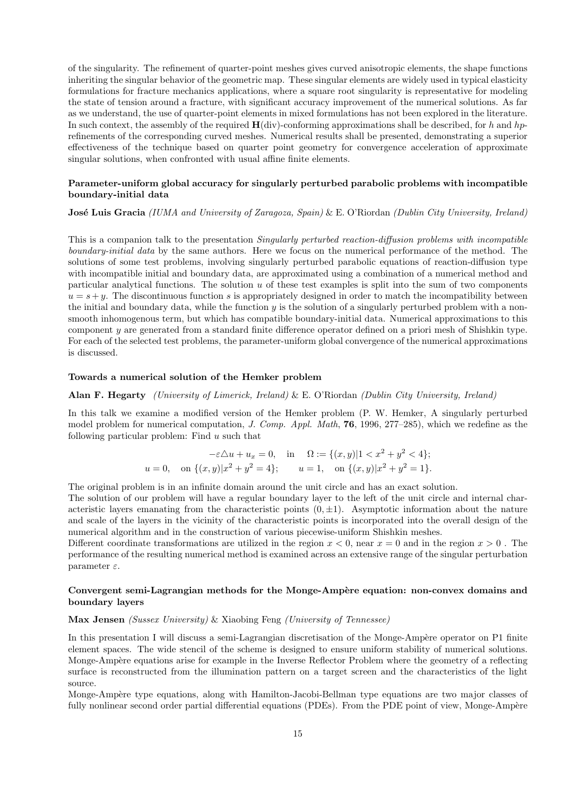of the singularity. The refinement of quarter-point meshes gives curved anisotropic elements, the shape functions inheriting the singular behavior of the geometric map. These singular elements are widely used in typical elasticity formulations for fracture mechanics applications, where a square root singularity is representative for modeling the state of tension around a fracture, with significant accuracy improvement of the numerical solutions. As far as we understand, the use of quarter-point elements in mixed formulations has not been explored in the literature. In such context, the assembly of the required  $H(\text{div})$ -conforming approximations shall be described, for h and hprefinements of the corresponding curved meshes. Numerical results shall be presented, demonstrating a superior effectiveness of the technique based on quarter point geometry for convergence acceleration of approximate singular solutions, when confronted with usual affine finite elements.

#### Parameter-uniform global accuracy for singularly perturbed parabolic problems with incompatible boundary-initial data

#### **José Luis Gracia** (IUMA and University of Zaragoza, Spain) & E. O'Riordan (Dublin City University, Ireland)

This is a companion talk to the presentation Singularly perturbed reaction-diffusion problems with incompatible boundary-initial data by the same authors. Here we focus on the numerical performance of the method. The solutions of some test problems, involving singularly perturbed parabolic equations of reaction-diffusion type with incompatible initial and boundary data, are approximated using a combination of a numerical method and particular analytical functions. The solution  $u$  of these test examples is split into the sum of two components  $u = s + y$ . The discontinuous function s is appropriately designed in order to match the incompatibility between the initial and boundary data, while the function  $y$  is the solution of a singularly perturbed problem with a nonsmooth inhomogenous term, but which has compatible boundary-initial data. Numerical approximations to this component y are generated from a standard finite difference operator defined on a priori mesh of Shishkin type. For each of the selected test problems, the parameter-uniform global convergence of the numerical approximations is discussed.

#### Towards a numerical solution of the Hemker problem

#### Alan F. Hegarty (University of Limerick, Ireland) & E. O'Riordan (Dublin City University, Ireland)

In this talk we examine a modified version of the Hemker problem (P. W. Hemker, A singularly perturbed model problem for numerical computation, J. Comp. Appl. Math, 76, 1996, 277–285), which we redefine as the following particular problem: Find  $u$  such that

$$
-\varepsilon \triangle u + u_x = 0, \quad \text{in} \quad \Omega := \{(x, y) | 1 < x^2 + y^2 < 4\};
$$
\n
$$
u = 0, \quad \text{on } \{(x, y) | x^2 + y^2 = 4\}; \qquad u = 1, \quad \text{on } \{(x, y) | x^2 + y^2 = 1\}.
$$

The original problem is in an infinite domain around the unit circle and has an exact solution.

The solution of our problem will have a regular boundary layer to the left of the unit circle and internal characteristic layers emanating from the characteristic points  $(0, \pm 1)$ . Asymptotic information about the nature and scale of the layers in the vicinity of the characteristic points is incorporated into the overall design of the numerical algorithm and in the construction of various piecewise-uniform Shishkin meshes.

Different coordinate transformations are utilized in the region  $x < 0$ , near  $x = 0$  and in the region  $x > 0$ . The performance of the resulting numerical method is examined across an extensive range of the singular perturbation parameter  $\varepsilon$ .

#### Convergent semi-Lagrangian methods for the Monge-Ampère equation: non-convex domains and boundary layers

#### Max Jensen (Sussex University) & Xiaobing Feng (University of Tennessee)

In this presentation I will discuss a semi-Lagrangian discretisation of the Monge-Ampère operator on P1 finite element spaces. The wide stencil of the scheme is designed to ensure uniform stability of numerical solutions. Monge-Ampère equations arise for example in the Inverse Reflector Problem where the geometry of a reflecting surface is reconstructed from the illumination pattern on a target screen and the characteristics of the light source.

Monge-Ampère type equations, along with Hamilton-Jacobi-Bellman type equations are two major classes of fully nonlinear second order partial differential equations (PDEs). From the PDE point of view, Monge-Ampère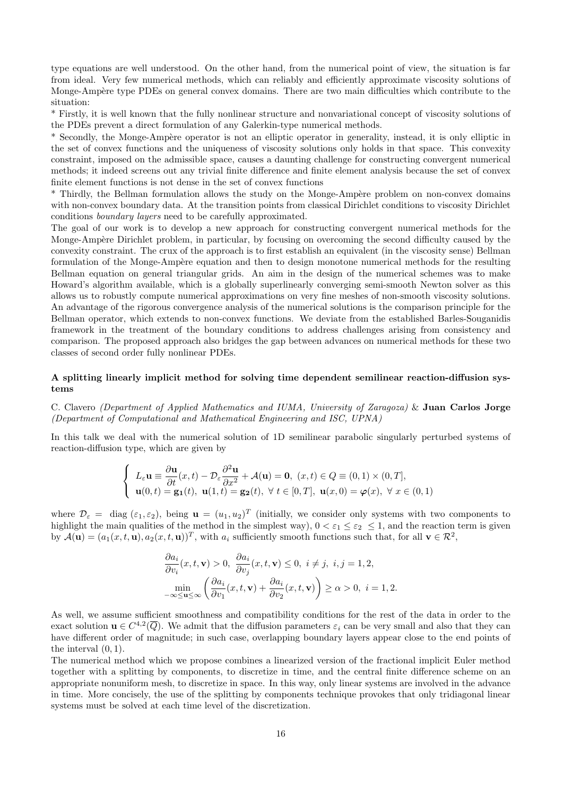type equations are well understood. On the other hand, from the numerical point of view, the situation is far from ideal. Very few numerical methods, which can reliably and efficiently approximate viscosity solutions of Monge-Ampère type PDEs on general convex domains. There are two main difficulties which contribute to the situation:

\* Firstly, it is well known that the fully nonlinear structure and nonvariational concept of viscosity solutions of the PDEs prevent a direct formulation of any Galerkin-type numerical methods.

\* Secondly, the Monge-Ampère operator is not an elliptic operator in generality, instead, it is only elliptic in the set of convex functions and the uniqueness of viscosity solutions only holds in that space. This convexity constraint, imposed on the admissible space, causes a daunting challenge for constructing convergent numerical methods; it indeed screens out any trivial finite difference and finite element analysis because the set of convex finite element functions is not dense in the set of convex functions

\* Thirdly, the Bellman formulation allows the study on the Monge-Amp`ere problem on non-convex domains with non-convex boundary data. At the transition points from classical Dirichlet conditions to viscosity Dirichlet conditions boundary layers need to be carefully approximated.

The goal of our work is to develop a new approach for constructing convergent numerical methods for the Monge-Ampère Dirichlet problem, in particular, by focusing on overcoming the second difficulty caused by the convexity constraint. The crux of the approach is to first establish an equivalent (in the viscosity sense) Bellman formulation of the Monge-Ampère equation and then to design monotone numerical methods for the resulting Bellman equation on general triangular grids. An aim in the design of the numerical schemes was to make Howard's algorithm available, which is a globally superlinearly converging semi-smooth Newton solver as this allows us to robustly compute numerical approximations on very fine meshes of non-smooth viscosity solutions. An advantage of the rigorous convergence analysis of the numerical solutions is the comparison principle for the Bellman operator, which extends to non-convex functions. We deviate from the established Barles-Souganidis framework in the treatment of the boundary conditions to address challenges arising from consistency and comparison. The proposed approach also bridges the gap between advances on numerical methods for these two classes of second order fully nonlinear PDEs.

#### A splitting linearly implicit method for solving time dependent semilinear reaction-diffusion systems

C. Clavero (Department of Applied Mathematics and IUMA, University of Zaragoza) & Juan Carlos Jorge (Department of Computational and Mathematical Engineering and ISC, UPNA)

In this talk we deal with the numerical solution of 1D semilinear parabolic singularly perturbed systems of reaction-diffusion type, which are given by

$$
\begin{cases}\nL_{\varepsilon} \mathbf{u} \equiv \frac{\partial \mathbf{u}}{\partial t}(x, t) - \mathcal{D}_{\varepsilon} \frac{\partial^2 \mathbf{u}}{\partial x^2} + \mathcal{A}(\mathbf{u}) = \mathbf{0}, \ (x, t) \in Q \equiv (0, 1) \times (0, T], \\
\mathbf{u}(0, t) = \mathbf{g_1}(t), \ \mathbf{u}(1, t) = \mathbf{g_2}(t), \ \forall \ t \in [0, T], \ \mathbf{u}(x, 0) = \varphi(x), \ \forall \ x \in (0, 1)\n\end{cases}
$$

where  $\mathcal{D}_{\varepsilon} = \text{diag}(\varepsilon_1, \varepsilon_2)$ , being  $\mathbf{u} = (u_1, u_2)^T$  (initially, we consider only systems with two components to highlight the main qualities of the method in the simplest way),  $0 < \varepsilon_1 \leq \varepsilon_2 \leq 1$ , and the reaction term is given by  $\mathcal{A}(\mathbf{u}) = (a_1(x,t,\mathbf{u}), a_2(x,t,\mathbf{u}))^T$ , with  $a_i$  sufficiently smooth functions such that, for all  $\mathbf{v} \in \mathcal{R}^2$ ,

$$
\frac{\partial a_i}{\partial v_i}(x, t, \mathbf{v}) > 0, \ \frac{\partial a_i}{\partial v_j}(x, t, \mathbf{v}) \le 0, \ i \ne j, \ i, j = 1, 2,
$$

$$
\min_{-\infty \le u \le \infty} \left( \frac{\partial a_i}{\partial v_1}(x, t, \mathbf{v}) + \frac{\partial a_i}{\partial v_2}(x, t, \mathbf{v}) \right) \ge \alpha > 0, \ i = 1, 2.
$$

As well, we assume sufficient smoothness and compatibility conditions for the rest of the data in order to the exact solution  $\mathbf{u} \in C^{4,2}(\overline{Q})$ . We admit that the diffusion parameters  $\varepsilon_i$  can be very small and also that they can have different order of magnitude; in such case, overlapping boundary layers appear close to the end points of the interval  $(0, 1)$ .

The numerical method which we propose combines a linearized version of the fractional implicit Euler method together with a splitting by components, to discretize in time, and the central finite difference scheme on an appropriate nonuniform mesh, to discretize in space. In this way, only linear systems are involved in the advance in time. More concisely, the use of the splitting by components technique provokes that only tridiagonal linear systems must be solved at each time level of the discretization.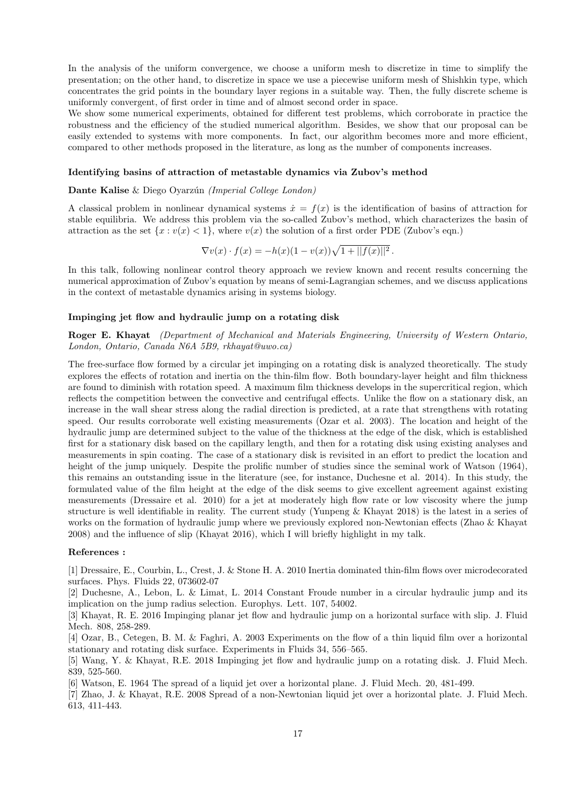In the analysis of the uniform convergence, we choose a uniform mesh to discretize in time to simplify the presentation; on the other hand, to discretize in space we use a piecewise uniform mesh of Shishkin type, which concentrates the grid points in the boundary layer regions in a suitable way. Then, the fully discrete scheme is uniformly convergent, of first order in time and of almost second order in space.

We show some numerical experiments, obtained for different test problems, which corroborate in practice the robustness and the efficiency of the studied numerical algorithm. Besides, we show that our proposal can be easily extended to systems with more components. In fact, our algorithm becomes more and more efficient, compared to other methods proposed in the literature, as long as the number of components increases.

#### Identifying basins of attraction of metastable dynamics via Zubov's method

Dante Kalise & Diego Oyarzún (Imperial College London)

A classical problem in nonlinear dynamical systems  $\dot{x} = f(x)$  is the identification of basins of attraction for stable equilibria. We address this problem via the so-called Zubov's method, which characterizes the basin of attraction as the set  $\{x : v(x) < 1\}$ , where  $v(x)$  the solution of a first order PDE (Zubov's eqn.)

$$
\nabla v(x) \cdot f(x) = -h(x)(1 - v(x))\sqrt{1 + ||f(x)||^2}.
$$

In this talk, following nonlinear control theory approach we review known and recent results concerning the numerical approximation of Zubov's equation by means of semi-Lagrangian schemes, and we discuss applications in the context of metastable dynamics arising in systems biology.

#### Impinging jet flow and hydraulic jump on a rotating disk

Roger E. Khayat (Department of Mechanical and Materials Engineering, University of Western Ontario, London, Ontario, Canada N6A 5B9, rkhayat@uwo.ca)

The free-surface flow formed by a circular jet impinging on a rotating disk is analyzed theoretically. The study explores the effects of rotation and inertia on the thin-film flow. Both boundary-layer height and film thickness are found to diminish with rotation speed. A maximum film thickness develops in the supercritical region, which reflects the competition between the convective and centrifugal effects. Unlike the flow on a stationary disk, an increase in the wall shear stress along the radial direction is predicted, at a rate that strengthens with rotating speed. Our results corroborate well existing measurements (Ozar et al. 2003). The location and height of the hydraulic jump are determined subject to the value of the thickness at the edge of the disk, which is established first for a stationary disk based on the capillary length, and then for a rotating disk using existing analyses and measurements in spin coating. The case of a stationary disk is revisited in an effort to predict the location and height of the jump uniquely. Despite the prolific number of studies since the seminal work of Watson (1964), this remains an outstanding issue in the literature (see, for instance, Duchesne et al. 2014). In this study, the formulated value of the film height at the edge of the disk seems to give excellent agreement against existing measurements (Dressaire et al. 2010) for a jet at moderately high flow rate or low viscosity where the jump structure is well identifiable in reality. The current study (Yunpeng & Khayat 2018) is the latest in a series of works on the formation of hydraulic jump where we previously explored non-Newtonian effects (Zhao & Khayat 2008) and the influence of slip (Khayat 2016), which I will briefly highlight in my talk.

#### References :

[1] Dressaire, E., Courbin, L., Crest, J. & Stone H. A. 2010 Inertia dominated thin-film flows over microdecorated surfaces. Phys. Fluids 22, 073602-07

[2] Duchesne, A., Lebon, L. & Limat, L. 2014 Constant Froude number in a circular hydraulic jump and its implication on the jump radius selection. Europhys. Lett. 107, 54002.

[3] Khayat, R. E. 2016 Impinging planar jet flow and hydraulic jump on a horizontal surface with slip. J. Fluid Mech. 808, 258-289.

[4] Ozar, B., Cetegen, B. M. & Faghri, A. 2003 Experiments on the flow of a thin liquid film over a horizontal stationary and rotating disk surface. Experiments in Fluids 34, 556–565.

[5] Wang, Y. & Khayat, R.E. 2018 Impinging jet flow and hydraulic jump on a rotating disk. J. Fluid Mech. 839, 525-560.

[6] Watson, E. 1964 The spread of a liquid jet over a horizontal plane. J. Fluid Mech. 20, 481-499.

[7] Zhao, J. & Khayat, R.E. 2008 Spread of a non-Newtonian liquid jet over a horizontal plate. J. Fluid Mech. 613, 411-443.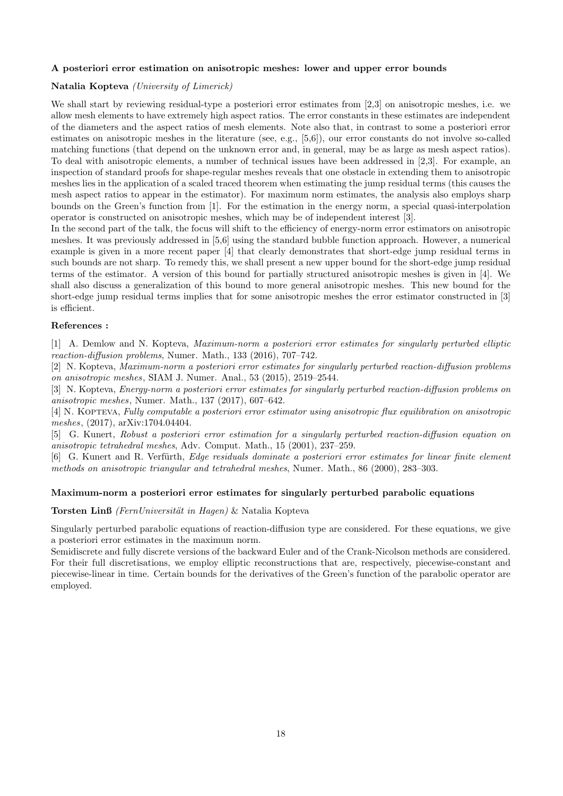#### A posteriori error estimation on anisotropic meshes: lower and upper error bounds

#### Natalia Kopteva (University of Limerick)

We shall start by reviewing residual-type a posteriori error estimates from [2,3] on anisotropic meshes, i.e. we allow mesh elements to have extremely high aspect ratios. The error constants in these estimates are independent of the diameters and the aspect ratios of mesh elements. Note also that, in contrast to some a posteriori error estimates on anisotropic meshes in the literature (see, e.g., [5,6]), our error constants do not involve so-called matching functions (that depend on the unknown error and, in general, may be as large as mesh aspect ratios). To deal with anisotropic elements, a number of technical issues have been addressed in [2,3]. For example, an inspection of standard proofs for shape-regular meshes reveals that one obstacle in extending them to anisotropic meshes lies in the application of a scaled traced theorem when estimating the jump residual terms (this causes the mesh aspect ratios to appear in the estimator). For maximum norm estimates, the analysis also employs sharp bounds on the Green's function from [1]. For the estimation in the energy norm, a special quasi-interpolation operator is constructed on anisotropic meshes, which may be of independent interest [3].

In the second part of the talk, the focus will shift to the efficiency of energy-norm error estimators on anisotropic meshes. It was previously addressed in [5,6] using the standard bubble function approach. However, a numerical example is given in a more recent paper [4] that clearly demonstrates that short-edge jump residual terms in such bounds are not sharp. To remedy this, we shall present a new upper bound for the short-edge jump residual terms of the estimator. A version of this bound for partially structured anisotropic meshes is given in [4]. We shall also discuss a generalization of this bound to more general anisotropic meshes. This new bound for the short-edge jump residual terms implies that for some anisotropic meshes the error estimator constructed in [3] is efficient.

#### References :

[1] A. Demlow and N. Kopteva, Maximum-norm a posteriori error estimates for singularly perturbed elliptic reaction-diffusion problems, Numer. Math., 133 (2016), 707–742.

[2] N. Kopteva, Maximum-norm a posteriori error estimates for singularly perturbed reaction-diffusion problems on anisotropic meshes, SIAM J. Numer. Anal., 53 (2015), 2519–2544.

[3] N. Kopteva, Energy-norm a posteriori error estimates for singularly perturbed reaction-diffusion problems on anisotropic meshes, Numer. Math., 137 (2017), 607–642.

[4] N. Kopteva, Fully computable a posteriori error estimator using anisotropic flux equilibration on anisotropic meshes, (2017), arXiv:1704.04404.

[5] G. Kunert, Robust a posteriori error estimation for a singularly perturbed reaction-diffusion equation on anisotropic tetrahedral meshes, Adv. Comput. Math., 15 (2001), 237–259.

[6] G. Kunert and R. Verfürth, Edge residuals dominate a posteriori error estimates for linear finite element methods on anisotropic triangular and tetrahedral meshes, Numer. Math., 86 (2000), 283–303.

#### Maximum-norm a posteriori error estimates for singularly perturbed parabolic equations

#### Torsten Linß (FernUniversität in Hagen) & Natalia Kopteva

Singularly perturbed parabolic equations of reaction-diffusion type are considered. For these equations, we give a posteriori error estimates in the maximum norm.

Semidiscrete and fully discrete versions of the backward Euler and of the Crank-Nicolson methods are considered. For their full discretisations, we employ elliptic reconstructions that are, respectively, piecewise-constant and piecewise-linear in time. Certain bounds for the derivatives of the Green's function of the parabolic operator are employed.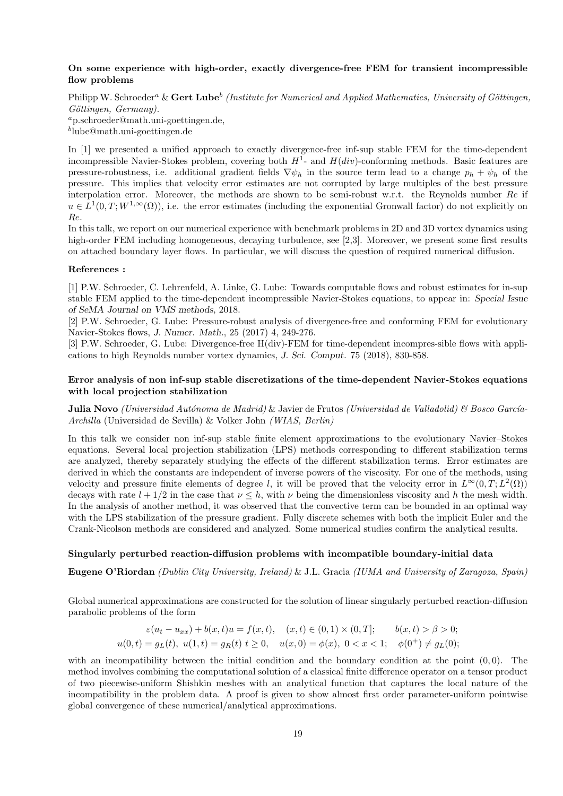#### On some experience with high-order, exactly divergence-free FEM for transient incompressible flow problems

Philipp W. Schroeder<sup>a</sup> & Gert Lube<sup>b</sup> (Institute for Numerical and Applied Mathematics, University of Göttingen, Göttingen, Germany).

<sup>a</sup>p.schroeder@math.uni-goettingen.de, b lube@math.uni-goettingen.de

In [1] we presented a unified approach to exactly divergence-free inf-sup stable FEM for the time-dependent incompressible Navier-Stokes problem, covering both  $H^1$ - and  $H(div)$ -conforming methods. Basic features are pressure-robustness, i.e. additional gradient fields  $\nabla \psi_h$  in the source term lead to a change  $p_h + \psi_h$  of the pressure. This implies that velocity error estimates are not corrupted by large multiples of the best pressure interpolation error. Moreover, the methods are shown to be semi-robust w.r.t. the Reynolds number Re if  $u \in L^1(0,T;W^{1,\infty}(\Omega))$ , i.e. the error estimates (including the exponential Gronwall factor) do not explicitly on Re.

In this talk, we report on our numerical experience with benchmark problems in 2D and 3D vortex dynamics using high-order FEM including homogeneous, decaying turbulence, see [2,3]. Moreover, we present some first results on attached boundary layer flows. In particular, we will discuss the question of required numerical diffusion.

#### References :

[1] P.W. Schroeder, C. Lehrenfeld, A. Linke, G. Lube: Towards computable flows and robust estimates for in-sup stable FEM applied to the time-dependent incompressible Navier-Stokes equations, to appear in: Special Issue of SeMA Journal on VMS methods, 2018.

[2] P.W. Schroeder, G. Lube: Pressure-robust analysis of divergence-free and conforming FEM for evolutionary Navier-Stokes flows, J. Numer. Math., 25 (2017) 4, 249-276.

[3] P.W. Schroeder, G. Lube: Divergence-free H(div)-FEM for time-dependent incompres-sible flows with applications to high Reynolds number vortex dynamics, J. Sci. Comput. 75 (2018), 830-858.

#### Error analysis of non inf-sup stable discretizations of the time-dependent Navier-Stokes equations with local projection stabilization

**Julia Novo** (Universidad Autónoma de Madrid) & Javier de Frutos (Universidad de Valladolid) & Bosco García-Archilla (Universidad de Sevilla) & Volker John (WIAS, Berlin)

In this talk we consider non inf-sup stable finite element approximations to the evolutionary Navier–Stokes equations. Several local projection stabilization (LPS) methods corresponding to different stabilization terms are analyzed, thereby separately studying the effects of the different stabilization terms. Error estimates are derived in which the constants are independent of inverse powers of the viscosity. For one of the methods, using velocity and pressure finite elements of degree l, it will be proved that the velocity error in  $L^{\infty}(0,T; L^{2}(\Omega))$ decays with rate  $l + 1/2$  in the case that  $\nu \leq h$ , with  $\nu$  being the dimensionless viscosity and h the mesh width. In the analysis of another method, it was observed that the convective term can be bounded in an optimal way with the LPS stabilization of the pressure gradient. Fully discrete schemes with both the implicit Euler and the Crank-Nicolson methods are considered and analyzed. Some numerical studies confirm the analytical results.

#### Singularly perturbed reaction-diffusion problems with incompatible boundary-initial data

Eugene O'Riordan (Dublin City University, Ireland) & J.L. Gracia (IUMA and University of Zaragoza, Spain)

Global numerical approximations are constructed for the solution of linear singularly perturbed reaction-diffusion parabolic problems of the form

$$
\varepsilon(u_t - u_{xx}) + b(x, t)u = f(x, t), \quad (x, t) \in (0, 1) \times (0, T]; \quad b(x, t) > \beta > 0;
$$
  

$$
u(0, t) = g_L(t), \quad u(1, t) = g_R(t) \quad t \ge 0, \quad u(x, 0) = \phi(x), \quad 0 < x < 1; \quad \phi(0^+) \ne g_L(0);
$$

with an incompatibility between the initial condition and the boundary condition at the point  $(0, 0)$ . The method involves combining the computational solution of a classical finite difference operator on a tensor product of two piecewise-uniform Shishkin meshes with an analytical function that captures the local nature of the incompatibility in the problem data. A proof is given to show almost first order parameter-uniform pointwise global convergence of these numerical/analytical approximations.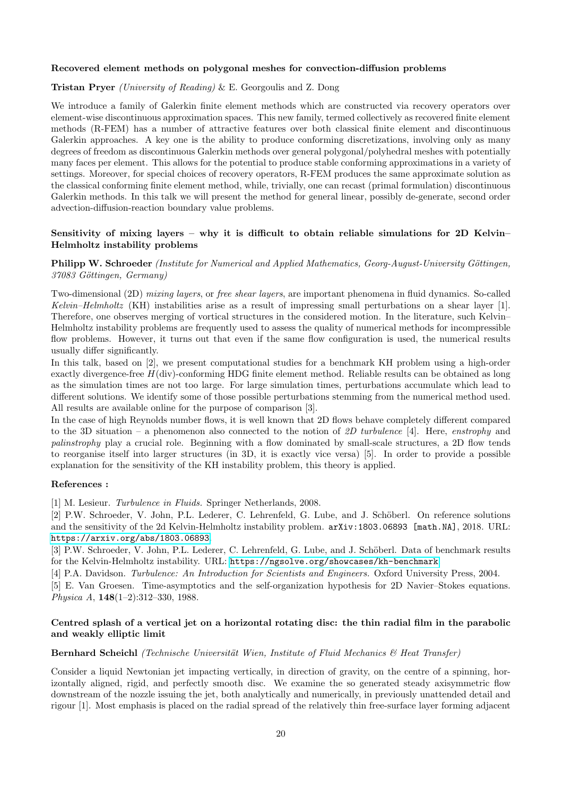#### Recovered element methods on polygonal meshes for convection-diffusion problems

#### Tristan Pryer (University of Reading) & E. Georgoulis and Z. Dong

We introduce a family of Galerkin finite element methods which are constructed via recovery operators over element-wise discontinuous approximation spaces. This new family, termed collectively as recovered finite element methods (R-FEM) has a number of attractive features over both classical finite element and discontinuous Galerkin approaches. A key one is the ability to produce conforming discretizations, involving only as many degrees of freedom as discontinuous Galerkin methods over general polygonal/polyhedral meshes with potentially many faces per element. This allows for the potential to produce stable conforming approximations in a variety of settings. Moreover, for special choices of recovery operators, R-FEM produces the same approximate solution as the classical conforming finite element method, while, trivially, one can recast (primal formulation) discontinuous Galerkin methods. In this talk we will present the method for general linear, possibly de-generate, second order advection-diffusion-reaction boundary value problems.

#### Sensitivity of mixing layers – why it is difficult to obtain reliable simulations for  $2D$  Kelvin– Helmholtz instability problems

#### Philipp W. Schroeder (Institute for Numerical and Applied Mathematics, Georg-August-University Göttingen, 37083 Göttingen, Germany)

Two-dimensional (2D) mixing layers, or free shear layers, are important phenomena in fluid dynamics. So-called Kelvin–Helmholtz (KH) instabilities arise as a result of impressing small perturbations on a shear layer [1]. Therefore, one observes merging of vortical structures in the considered motion. In the literature, such Kelvin– Helmholtz instability problems are frequently used to assess the quality of numerical methods for incompressible flow problems. However, it turns out that even if the same flow configuration is used, the numerical results usually differ significantly.

In this talk, based on [2], we present computational studies for a benchmark KH problem using a high-order exactly divergence-free  $H(\text{div})$ -conforming HDG finite element method. Reliable results can be obtained as long as the simulation times are not too large. For large simulation times, perturbations accumulate which lead to different solutions. We identify some of those possible perturbations stemming from the numerical method used. All results are available online for the purpose of comparison [3].

In the case of high Reynolds number flows, it is well known that 2D flows behave completely different compared to the 3D situation – a phenomenon also connected to the notion of 2D turbulence [4]. Here, enstrophy and palinstrophy play a crucial role. Beginning with a flow dominated by small-scale structures, a 2D flow tends to reorganise itself into larger structures (in 3D, it is exactly vice versa) [5]. In order to provide a possible explanation for the sensitivity of the KH instability problem, this theory is applied.

#### References :

[1] M. Lesieur. Turbulence in Fluids. Springer Netherlands, 2008.

[2] P.W. Schroeder, V. John, P.L. Lederer, C. Lehrenfeld, G. Lube, and J. Sch¨oberl. On reference solutions and the sensitivity of the 2d Kelvin-Helmholtz instability problem.  $arXiv:1803.06893$  [math.NA], 2018. URL: <https://arxiv.org/abs/1803.06893>.

[3] P.W. Schroeder, V. John, P.L. Lederer, C. Lehrenfeld, G. Lube, and J. Schöberl. Data of benchmark results for the Kelvin-Helmholtz instability. URL: <https://ngsolve.org/showcases/kh-benchmark>.

[4] P.A. Davidson. Turbulence: An Introduction for Scientists and Engineers. Oxford University Press, 2004.

[5] E. Van Groesen. Time-asymptotics and the self-organization hypothesis for 2D Navier–Stokes equations. Physica A, 148(1–2):312–330, 1988.

#### Centred splash of a vertical jet on a horizontal rotating disc: the thin radial film in the parabolic and weakly elliptic limit

#### Bernhard Scheichl (Technische Universität Wien, Institute of Fluid Mechanics  $\mathcal{B}$  Heat Transfer)

Consider a liquid Newtonian jet impacting vertically, in direction of gravity, on the centre of a spinning, horizontally aligned, rigid, and perfectly smooth disc. We examine the so generated steady axisymmetric flow downstream of the nozzle issuing the jet, both analytically and numerically, in previously unattended detail and rigour [1]. Most emphasis is placed on the radial spread of the relatively thin free-surface layer forming adjacent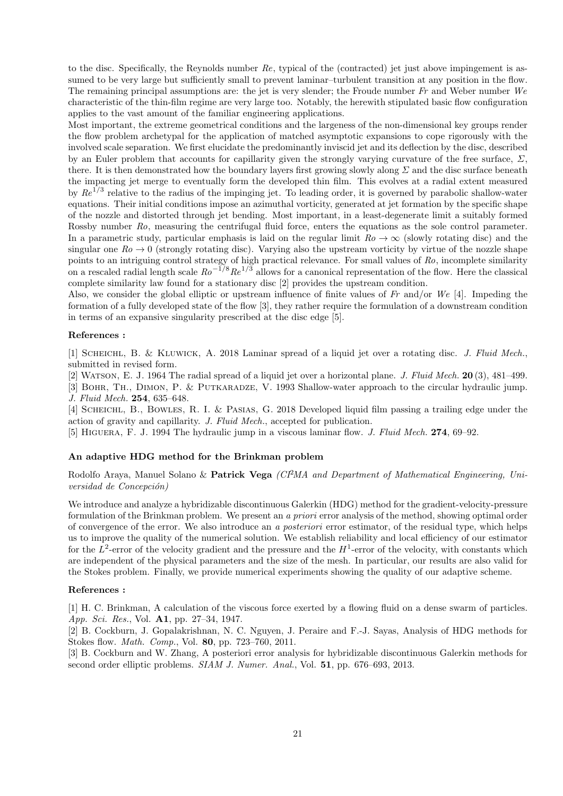to the disc. Specifically, the Reynolds number  $Re$ , typical of the (contracted) jet just above impingement is assumed to be very large but sufficiently small to prevent laminar–turbulent transition at any position in the flow. The remaining principal assumptions are: the jet is very slender; the Froude number Fr and Weber number We characteristic of the thin-film regime are very large too. Notably, the herewith stipulated basic flow configuration applies to the vast amount of the familiar engineering applications.

Most important, the extreme geometrical conditions and the largeness of the non-dimensional key groups render the flow problem archetypal for the application of matched asymptotic expansions to cope rigorously with the involved scale separation. We first elucidate the predominantly inviscid jet and its deflection by the disc, described by an Euler problem that accounts for capillarity given the strongly varying curvature of the free surface,  $\Sigma$ , there. It is then demonstrated how the boundary layers first growing slowly along  $\Sigma$  and the disc surface beneath the impacting jet merge to eventually form the developed thin film. This evolves at a radial extent measured by  $Re^{1/3}$  relative to the radius of the impinging jet. To leading order, it is governed by parabolic shallow-water equations. Their initial conditions impose an azimuthal vorticity, generated at jet formation by the specific shape of the nozzle and distorted through jet bending. Most important, in a least-degenerate limit a suitably formed Rossby number Ro, measuring the centrifugal fluid force, enters the equations as the sole control parameter. In a parametric study, particular emphasis is laid on the regular limit  $Ro \to \infty$  (slowly rotating disc) and the singular one  $Ro \to 0$  (strongly rotating disc). Varying also the upstream vorticity by virtue of the nozzle shape points to an intriguing control strategy of high practical relevance. For small values of Ro, incomplete similarity on a rescaled radial length scale  $Ro^{-1/8}Re^{1/3}$  allows for a canonical representation of the flow. Here the classical complete similarity law found for a stationary disc [2] provides the upstream condition.

Also, we consider the global elliptic or upstream influence of finite values of  $Fr$  and/or  $We$  [4]. Impeding the formation of a fully developed state of the flow [3], they rather require the formulation of a downstream condition in terms of an expansive singularity prescribed at the disc edge [5].

#### References :

[1] SCHEICHL, B. & KLUWICK, A. 2018 Laminar spread of a liquid jet over a rotating disc. J. Fluid Mech., submitted in revised form.

[2] WATSON, E. J. 1964 The radial spread of a liquid jet over a horizontal plane. J. Fluid Mech.  $20(3)$ ,  $481-499$ .

[3] Bohr, Th., Dimon, P. & Putkaradze, V. 1993 Shallow-water approach to the circular hydraulic jump. J. Fluid Mech. 254, 635–648.

[4] Scheichl, B., Bowles, R. I. & Pasias, G. 2018 Developed liquid film passing a trailing edge under the action of gravity and capillarity. J. Fluid Mech., accepted for publication.

[5] HIGUERA, F. J. 1994 The hydraulic jump in a viscous laminar flow. *J. Fluid Mech.* **274**, 69–92.

#### An adaptive HDG method for the Brinkman problem

Rodolfo Araya, Manuel Solano & Patrick Vega  $\langle C\hat{P}MA \text{ and Department of Mathematical Engineering}, Uni$ versidad de Concepción)

We introduce and analyze a hybridizable discontinuous Galerkin (HDG) method for the gradient-velocity-pressure formulation of the Brinkman problem. We present an a priori error analysis of the method, showing optimal order of convergence of the error. We also introduce an a posteriori error estimator, of the residual type, which helps us to improve the quality of the numerical solution. We establish reliability and local efficiency of our estimator for the  $L^2$ -error of the velocity gradient and the pressure and the  $H^1$ -error of the velocity, with constants which are independent of the physical parameters and the size of the mesh. In particular, our results are also valid for the Stokes problem. Finally, we provide numerical experiments showing the quality of our adaptive scheme.

#### References :

[1] H. C. Brinkman, A calculation of the viscous force exerted by a flowing fluid on a dense swarm of particles. App. Sci. Res., Vol. A1, pp. 27–34, 1947.

[2] B. Cockburn, J. Gopalakrishnan, N. C. Nguyen, J. Peraire and F.-J. Sayas, Analysis of HDG methods for Stokes flow. Math. Comp., Vol. 80, pp. 723–760, 2011.

[3] B. Cockburn and W. Zhang, A posteriori error analysis for hybridizable discontinuous Galerkin methods for second order elliptic problems. SIAM J. Numer. Anal., Vol. 51, pp. 676–693, 2013.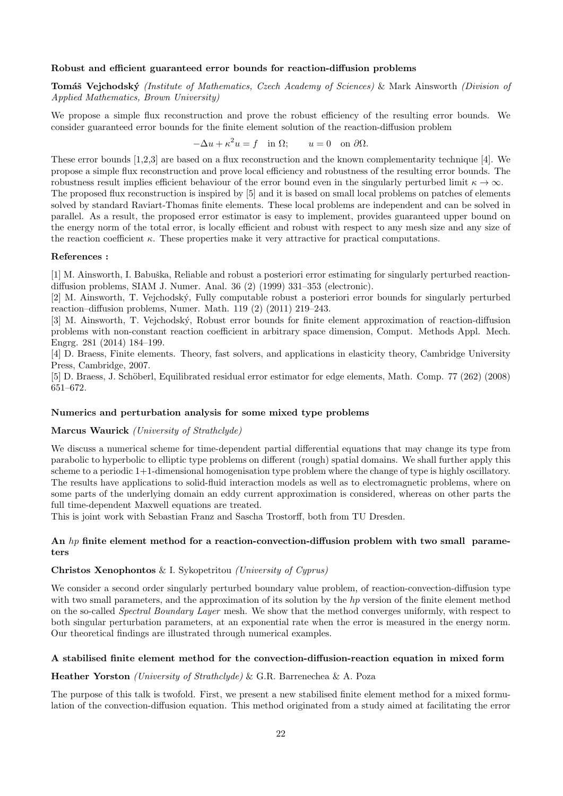#### Robust and efficient guaranteed error bounds for reaction-diffusion problems

Tomáš Vejchodský (Institute of Mathematics, Czech Academy of Sciences) & Mark Ainsworth (Division of Applied Mathematics, Brown University)

We propose a simple flux reconstruction and prove the robust efficiency of the resulting error bounds. We consider guaranteed error bounds for the finite element solution of the reaction-diffusion problem

$$
-\Delta u + \kappa^2 u = f \quad \text{in } \Omega; \qquad u = 0 \quad \text{on } \partial \Omega.
$$

These error bounds [1,2,3] are based on a flux reconstruction and the known complementarity technique [4]. We propose a simple flux reconstruction and prove local efficiency and robustness of the resulting error bounds. The robustness result implies efficient behaviour of the error bound even in the singularly perturbed limit  $\kappa \to \infty$ .

The proposed flux reconstruction is inspired by [5] and it is based on small local problems on patches of elements solved by standard Raviart-Thomas finite elements. These local problems are independent and can be solved in parallel. As a result, the proposed error estimator is easy to implement, provides guaranteed upper bound on the energy norm of the total error, is locally efficient and robust with respect to any mesh size and any size of the reaction coefficient  $\kappa$ . These properties make it very attractive for practical computations.

#### References :

[1] M. Ainsworth, I. Babuška, Reliable and robust a posteriori error estimating for singularly perturbed reactiondiffusion problems, SIAM J. Numer. Anal. 36 (2) (1999) 331–353 (electronic).

[2] M. Ainsworth, T. Vejchodsk´y, Fully computable robust a posteriori error bounds for singularly perturbed reaction–diffusion problems, Numer. Math. 119 (2) (2011) 219–243.

[3] M. Ainsworth, T. Vejchodsk´y, Robust error bounds for finite element approximation of reaction-diffusion problems with non-constant reaction coefficient in arbitrary space dimension, Comput. Methods Appl. Mech. Engrg. 281 (2014) 184–199.

[4] D. Braess, Finite elements. Theory, fast solvers, and applications in elasticity theory, Cambridge University Press, Cambridge, 2007.

[5] D. Braess, J. Schöberl, Equilibrated residual error estimator for edge elements, Math. Comp. 77 (262) (2008) 651–672.

#### Numerics and perturbation analysis for some mixed type problems

#### Marcus Waurick (University of Strathclyde)

We discuss a numerical scheme for time-dependent partial differential equations that may change its type from parabolic to hyperbolic to elliptic type problems on different (rough) spatial domains. We shall further apply this scheme to a periodic 1+1-dimensional homogenisation type problem where the change of type is highly oscillatory. The results have applications to solid-fluid interaction models as well as to electromagnetic problems, where on some parts of the underlying domain an eddy current approximation is considered, whereas on other parts the full time-dependent Maxwell equations are treated.

This is joint work with Sebastian Franz and Sascha Trostorff, both from TU Dresden.

#### An hp finite element method for a reaction-convection-diffusion problem with two small parameters

#### Christos Xenophontos & I. Sykopetritou (University of Cyprus)

We consider a second order singularly perturbed boundary value problem, of reaction-convection-diffusion type with two small parameters, and the approximation of its solution by the hp version of the finite element method on the so-called Spectral Boundary Layer mesh. We show that the method converges uniformly, with respect to both singular perturbation parameters, at an exponential rate when the error is measured in the energy norm. Our theoretical findings are illustrated through numerical examples.

#### A stabilised finite element method for the convection-diffusion-reaction equation in mixed form

#### Heather Yorston (University of Strathclyde) & G.R. Barrenechea & A. Poza

The purpose of this talk is twofold. First, we present a new stabilised finite element method for a mixed formulation of the convection-diffusion equation. This method originated from a study aimed at facilitating the error